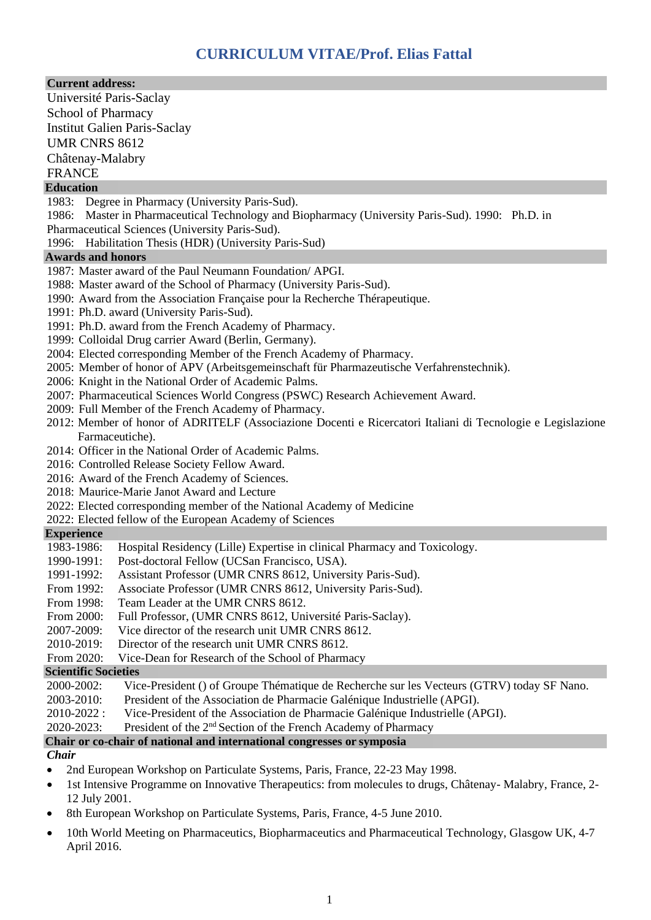# **Current address:**

Université Paris-Saclay School of Pharmacy Institut Galien Paris-Saclay UMR CNRS 8612 Châtenay-Malabry FRANCE

# **Education**

- 1983: Degree in Pharmacy (University Paris-Sud).
- 1986: Master in Pharmaceutical Technology and Biopharmacy (University Paris-Sud). 1990: Ph.D. in
- Pharmaceutical Sciences (University Paris-Sud).
- 1996: Habilitation Thesis (HDR) (University Paris-Sud)

### **Awards and honors**

- 1987: Master award of the Paul Neumann Foundation/ APGI.
- 1988: Master award of the School of Pharmacy (University Paris-Sud).
- 1990: Award from the Association Française pour la Recherche Thérapeutique.
- 1991: Ph.D. award (University Paris-Sud).
- 1991: Ph.D. award from the French Academy of Pharmacy.
- 1999: Colloidal Drug carrier Award (Berlin, Germany).
- 2004: Elected corresponding Member of the French Academy of Pharmacy.
- 2005: Member of honor of APV (Arbeitsgemeinschaft für Pharmazeutische Verfahrenstechnik).
- 2006: Knight in the National Order of Academic Palms.
- 2007: Pharmaceutical Sciences World Congress (PSWC) Research Achievement Award.
- 2009: Full Member of the French Academy of Pharmacy.
- 2012: Member of honor of ADRITELF (Associazione Docenti e Ricercatori Italiani di Tecnologie e Legislazione Farmaceutiche).
- 2014: Officer in the National Order of Academic Palms.
- 2016: Controlled Release Society Fellow Award.
- 2016: Award of the French Academy of Sciences*.*
- 2018: Maurice-Marie Janot Award and Lecture
- 2022: Elected corresponding member of the National Academy of Medicine
- 2022: Elected fellow of the European Academy of Sciences

### **Experience**

- 1983-1986: Hospital Residency (Lille) Expertise in clinical Pharmacy and Toxicology.
- 1990-1991: Post-doctoral Fellow (UCSan Francisco, USA).
- 1991-1992: Assistant Professor (UMR CNRS 8612, University Paris-Sud).
- From 1992: Associate Professor (UMR CNRS 8612, University Paris-Sud).
- From 1998: Team Leader at the UMR CNRS 8612.
- From 2000: Full Professor, (UMR CNRS 8612, Université Paris-Saclay).
- 2007-2009: Vice director of the research unit UMR CNRS 8612.
- 2010-2019: Director of the research unit UMR CNRS 8612.
- From 2020: Vice-Dean for Research of the School of Pharmacy

**Scientific Societies**

- 2000-2002: Vice-President () of Groupe Thématique de Recherche sur les Vecteurs (GTRV) today SF Nano.
- 2003-2010: President of the Association de Pharmacie Galénique Industrielle (APGI).
- 2010-2022 : Vice-President of the Association de Pharmacie Galénique Industrielle (APGI).

2020-2023: President of the 2nd Section of the French Academy of Pharmacy

### **Chair or co-chair of national and international congresses or symposia**

### *Chair*

- 2nd European Workshop on Particulate Systems, Paris, France, 22-23 May 1998.
- 1st Intensive Programme on Innovative Therapeutics: from molecules to drugs, Châtenay- Malabry, France, 2-12 July 2001.
- 8th European Workshop on Particulate Systems, Paris, France, 4-5 June 2010.
- 10th World Meeting on Pharmaceutics, Biopharmaceutics and Pharmaceutical Technology, Glasgow UK, 4-7 April 2016.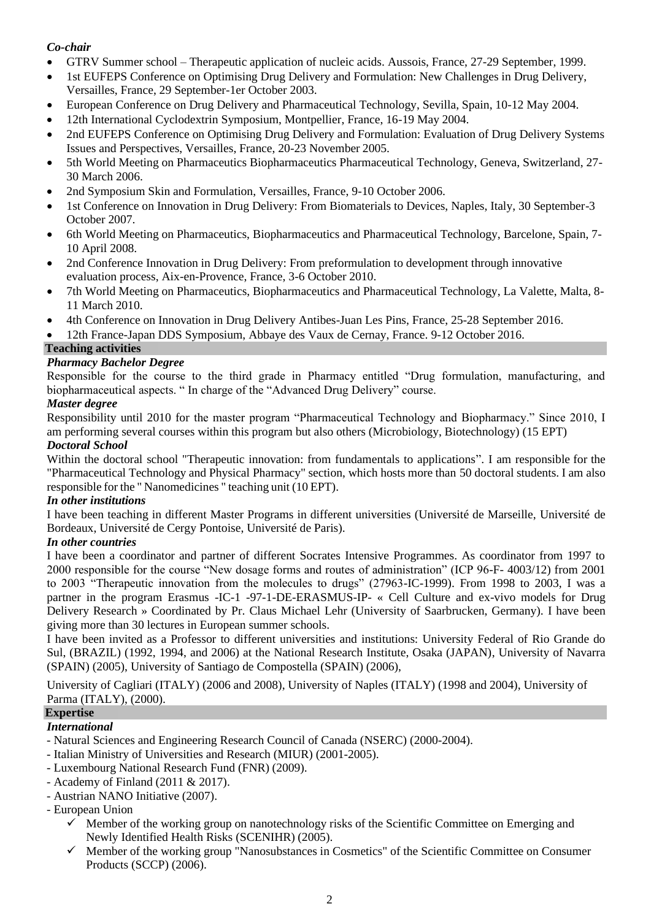# *Co-chair*

- GTRV Summer school Therapeutic application of nucleic acids. Aussois, France, 27-29 September, 1999.
- 1st EUFEPS Conference on Optimising Drug Delivery and Formulation: New Challenges in Drug Delivery, Versailles, France, 29 September-1er October 2003.
- European Conference on Drug Delivery and Pharmaceutical Technology, Sevilla, Spain, 10-12 May 2004.
- 12th International Cyclodextrin Symposium, Montpellier, France, 16-19 May 2004.
- 2nd EUFEPS Conference on Optimising Drug Delivery and Formulation: Evaluation of Drug Delivery Systems Issues and Perspectives, Versailles, France, 20-23 November 2005.
- 5th World Meeting on Pharmaceutics Biopharmaceutics Pharmaceutical Technology, Geneva, Switzerland, 27-30 March 2006.
- 2nd Symposium Skin and Formulation, Versailles, France, 9-10 October 2006.
- 1st Conference on Innovation in Drug Delivery: From Biomaterials to Devices, Naples, Italy, 30 September-3 October 2007.
- 6th World Meeting on Pharmaceutics, Biopharmaceutics and Pharmaceutical Technology, Barcelone, Spain, 7-10 April 2008.
- 2nd Conference Innovation in Drug Delivery: From preformulation to development through innovative evaluation process, Aix-en-Provence, France, 3-6 October 2010.
- 7th World Meeting on Pharmaceutics, Biopharmaceutics and Pharmaceutical Technology, La Valette, Malta, 8- 11 March 2010.
- 4th Conference on Innovation in Drug Delivery Antibes-Juan Les Pins, France, 25-28 September 2016.
- 12th France-Japan DDS Symposium, Abbaye des Vaux de Cernay, France. 9-12 October 2016.

# **Teaching activities**

# *Pharmacy Bachelor Degree*

Responsible for the course to the third grade in Pharmacy entitled "Drug formulation, manufacturing, and biopharmaceutical aspects. " In charge of the "Advanced Drug Delivery" course.

# *Master degree*

Responsibility until 2010 for the master program "Pharmaceutical Technology and Biopharmacy." Since 2010, I am performing several courses within this program but also others (Microbiology, Biotechnology) (15 EPT) *Doctoral School*

Within the doctoral school "Therapeutic innovation: from fundamentals to applications". I am responsible for the "Pharmaceutical Technology and Physical Pharmacy" section, which hosts more than 50 doctoral students. I am also responsible for the " Nanomedicines " teaching unit (10 EPT).

# *In other institutions*

I have been teaching in different Master Programs in different universities (Université de Marseille, Université de Bordeaux, Université de Cergy Pontoise, Université de Paris).

# *In other countries*

I have been a coordinator and partner of different Socrates Intensive Programmes. As coordinator from 1997 to 2000 responsible for the course "New dosage forms and routes of administration" (ICP 96-F- 4003/12) from 2001 to 2003 "Therapeutic innovation from the molecules to drugs" (27963-IC-1999). From 1998 to 2003, I was a partner in the program Erasmus -IC-1 -97-1-DE-ERASMUS-IP- « Cell Culture and ex-vivo models for Drug Delivery Research » Coordinated by Pr. Claus Michael Lehr (University of Saarbrucken, Germany). I have been giving more than 30 lectures in European summer schools.

I have been invited as a Professor to different universities and institutions: University Federal of Rio Grande do Sul, (BRAZIL) (1992, 1994, and 2006) at the National Research Institute, Osaka (JAPAN), University of Navarra (SPAIN) (2005), University of Santiago de Compostella (SPAIN) (2006),

University of Cagliari (ITALY) (2006 and 2008), University of Naples (ITALY) (1998 and 2004), University of Parma (ITALY), (2000).

# **Expertise**

# *International*

- Natural Sciences and Engineering Research Council of Canada (NSERC) (2000-2004).
- Italian Ministry of Universities and Research (MIUR) (2001-2005).
- Luxembourg National Research Fund (FNR) (2009).
- Academy of Finland (2011 & 2017).
- Austrian NANO Initiative (2007).
- European Union
	- $\checkmark$  Member of the working group on nanotechnology risks of the Scientific Committee on Emerging and Newly Identified Health Risks (SCENIHR) (2005).
	- ✓ Member of the working group "Nanosubstances in Cosmetics" of the Scientific Committee on Consumer Products (SCCP) (2006).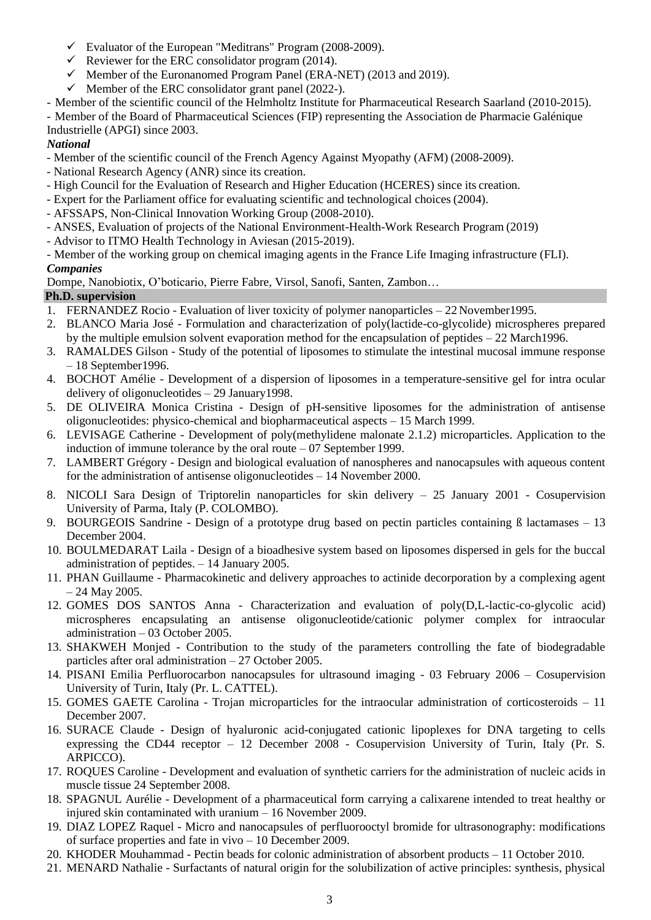- $\checkmark$  Evaluator of the European "Meditrans" Program (2008-2009).
- $\checkmark$  Reviewer for the ERC consolidator program (2014).
- $\checkmark$  Member of the Euronanomed Program Panel (ERA-NET) (2013 and 2019).
- $\checkmark$  Member of the ERC consolidator grant panel (2022-).
- Member of the scientific council of the Helmholtz Institute for Pharmaceutical Research Saarland (2010-2015).

- Member of the Board of Pharmaceutical Sciences (FIP) representing the Association de Pharmacie Galénique Industrielle (APGI) since 2003.

# *National*

- Member of the scientific council of the French Agency Against Myopathy (AFM) (2008-2009).
- National Research Agency (ANR) since its creation.
- High Council for the Evaluation of Research and Higher Education (HCERES) since its creation.
- Expert for the Parliament office for evaluating scientific and technological choices (2004).
- AFSSAPS, Non-Clinical Innovation Working Group (2008-2010).
- ANSES, Evaluation of projects of the National Environment-Health-Work Research Program (2019)
- Advisor to ITMO Health Technology in Aviesan (2015-2019).
- Member of the working group on chemical imaging agents in the France Life Imaging infrastructure (FLI). *Companies*

Dompe, Nanobiotix, O'boticario, Pierre Fabre, Virsol, Sanofi, Santen, Zambon…

# **Ph.D. supervision**

- 1. FERNANDEZ Rocio Evaluation of liver toxicity of polymer nanoparticles 22 November1995.
- 2. BLANCO Maria José Formulation and characterization of poly(lactide-co-glycolide) microspheres prepared by the multiple emulsion solvent evaporation method for the encapsulation of peptides – 22 March1996.
- 3. RAMALDES Gilson Study of the potential of liposomes to stimulate the intestinal mucosal immune response – 18 September1996.
- 4. BOCHOT Amélie Development of a dispersion of liposomes in a temperature-sensitive gel for intra ocular delivery of oligonucleotides – 29 January1998.
- 5. DE OLIVEIRA Monica Cristina Design of pH-sensitive liposomes for the administration of antisense oligonucleotides: physico-chemical and biopharmaceutical aspects – 15 March 1999.
- 6. LEVISAGE Catherine Development of poly(methylidene malonate 2.1.2) microparticles. Application to the induction of immune tolerance by the oral route – 07 September 1999.
- 7. LAMBERT Grégory Design and biological evaluation of nanospheres and nanocapsules with aqueous content for the administration of antisense oligonucleotides – 14 November 2000.
- 8. NICOLI Sara Design of Triptorelin nanoparticles for skin delivery 25 January 2001 Cosupervision University of Parma, Italy (P. COLOMBO).
- 9. BOURGEOIS Sandrine Design of a prototype drug based on pectin particles containing B lactamases 13 December 2004.
- 10. BOULMEDARAT Laila Design of a bioadhesive system based on liposomes dispersed in gels for the buccal administration of peptides. – 14 January 2005.
- 11. PHAN Guillaume Pharmacokinetic and delivery approaches to actinide decorporation by a complexing agent – 24 May 2005.
- 12. GOMES DOS SANTOS Anna Characterization and evaluation of poly(D,L-lactic-co-glycolic acid) microspheres encapsulating an antisense oligonucleotide/cationic polymer complex for intraocular administration – 03 October 2005.
- 13. SHAKWEH Monjed Contribution to the study of the parameters controlling the fate of biodegradable particles after oral administration – 27 October 2005.
- 14. PISANI Emilia Perfluorocarbon nanocapsules for ultrasound imaging 03 February 2006 Cosupervision University of Turin, Italy (Pr. L. CATTEL).
- 15. GOMES GAETE Carolina Trojan microparticles for the intraocular administration of corticosteroids 11 December 2007.
- 16. SURACE Claude Design of hyaluronic acid-conjugated cationic lipoplexes for DNA targeting to cells expressing the CD44 receptor – 12 December 2008 - Cosupervision University of Turin, Italy (Pr. S. ARPICCO).
- 17. ROQUES Caroline Development and evaluation of synthetic carriers for the administration of nucleic acids in muscle tissue 24 September 2008.
- 18. SPAGNUL Aurélie Development of a pharmaceutical form carrying a calixarene intended to treat healthy or injured skin contaminated with uranium – 16 November 2009.
- 19. DIAZ LOPEZ Raquel Micro and nanocapsules of perfluorooctyl bromide for ultrasonography: modifications of surface properties and fate in vivo – 10 December 2009.
- 20. KHODER Mouhammad Pectin beads for colonic administration of absorbent products 11 October 2010.
- 21. MENARD Nathalie Surfactants of natural origin for the solubilization of active principles: synthesis, physical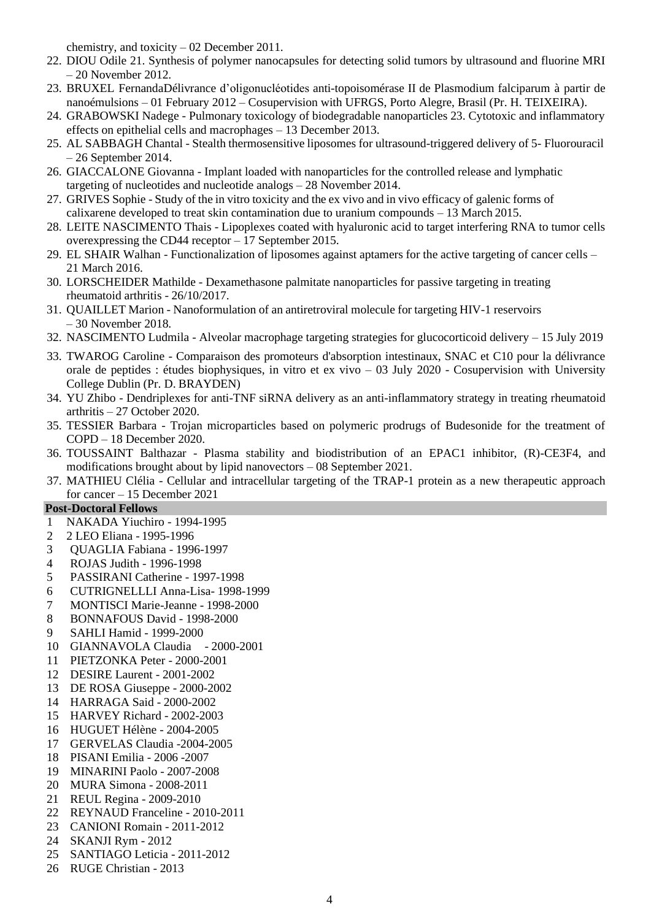chemistry, and toxicity – 02 December 2011.

- 22. DIOU Odile 21. Synthesis of polymer nanocapsules for detecting solid tumors by ultrasound and fluorine MRI – 20 November 2012.
- 23. BRUXEL FernandaDélivrance d'oligonucléotides anti-topoisomérase II de Plasmodium falciparum à partir de nanoémulsions – 01 February 2012 – Cosupervision with UFRGS, Porto Alegre, Brasil (Pr. H. TEIXEIRA).
- 24. GRABOWSKI Nadege Pulmonary toxicology of biodegradable nanoparticles 23. Cytotoxic and inflammatory effects on epithelial cells and macrophages – 13 December 2013.
- 25. AL SABBAGH Chantal Stealth thermosensitive liposomes for ultrasound-triggered delivery of 5- Fluorouracil  $-26$  September 2014.
- 26. GIACCALONE Giovanna Implant loaded with nanoparticles for the controlled release and lymphatic targeting of nucleotides and nucleotide analogs – 28 November 2014.
- 27. GRIVES Sophie Study of the in vitro toxicity and the ex vivo and in vivo efficacy of galenic forms of calixarene developed to treat skin contamination due to uranium compounds – 13 March 2015.
- 28. LEITE NASCIMENTO Thais Lipoplexes coated with hyaluronic acid to target interfering RNA to tumor cells overexpressing the CD44 receptor – 17 September 2015.
- 29. EL SHAIR Walhan Functionalization of liposomes against aptamers for the active targeting of cancer cells 21 March 2016.
- 30. LORSCHEIDER Mathilde Dexamethasone palmitate nanoparticles for passive targeting in treating rheumatoid arthritis - 26/10/2017.
- 31. QUAILLET Marion Nanoformulation of an antiretroviral molecule for targeting HIV-1 reservoirs – 30 November 2018.
- 32. NASCIMENTO Ludmila Alveolar macrophage targeting strategies for glucocorticoid delivery 15 July 2019
- 33. TWAROG Caroline Comparaison des promoteurs d'absorption intestinaux, SNAC et C10 pour la délivrance orale de peptides : études biophysiques, in vitro et ex vivo – 03 July 2020 - Cosupervision with University College Dublin (Pr. D. BRAYDEN)
- 34. YU Zhibo Dendriplexes for anti-TNF siRNA delivery as an anti-inflammatory strategy in treating rheumatoid arthritis – 27 October 2020.
- 35. TESSIER Barbara Trojan microparticles based on polymeric prodrugs of Budesonide for the treatment of COPD – 18 December 2020.
- 36. TOUSSAINT Balthazar Plasma stability and biodistribution of an EPAC1 inhibitor, (R)-CE3F4, and modifications brought about by lipid nanovectors – 08 September 2021.
- 37. MATHIEU Clélia Cellular and intracellular targeting of the TRAP-1 protein as a new therapeutic approach for cancer – 15 December 2021

# **Post-Doctoral Fellows**

- 1 NAKADA Yiuchiro 1994-1995
- 2 2 LEO Eliana 1995-1996
- 3 QUAGLIA Fabiana 1996-1997
- 4 ROJAS Judith 1996-1998
- 5 PASSIRANI Catherine 1997-1998
- 6 CUTRIGNELLLI Anna-Lisa- 1998-1999
- 7 MONTISCI Marie-Jeanne 1998-2000
- 8 BONNAFOUS David 1998-2000
- 9 SAHLI Hamid 1999-2000
- 10 GIANNAVOLA Claudia 2000-2001
- 11 PIETZONKA Peter 2000-2001
- 12 DESIRE Laurent 2001-2002
- 13 DE ROSA Giuseppe 2000-2002
- 14 HARRAGA Said 2000-2002
- 15 HARVEY Richard 2002-2003
- 16 HUGUET Hélène 2004-2005
- 17 GERVELAS Claudia -2004-2005
- 18 PISANI Emilia 2006 -2007
- 19 MINARINI Paolo 2007-2008
- 20 MURA Simona 2008-2011
- 21 REUL Regina 2009-2010
- 22 REYNAUD Franceline 2010-2011
- 23 CANIONI Romain 2011-2012
- 24 SKANJI Rym 2012
- 25 SANTIAGO Leticia 2011-2012
- 26 RUGE Christian 2013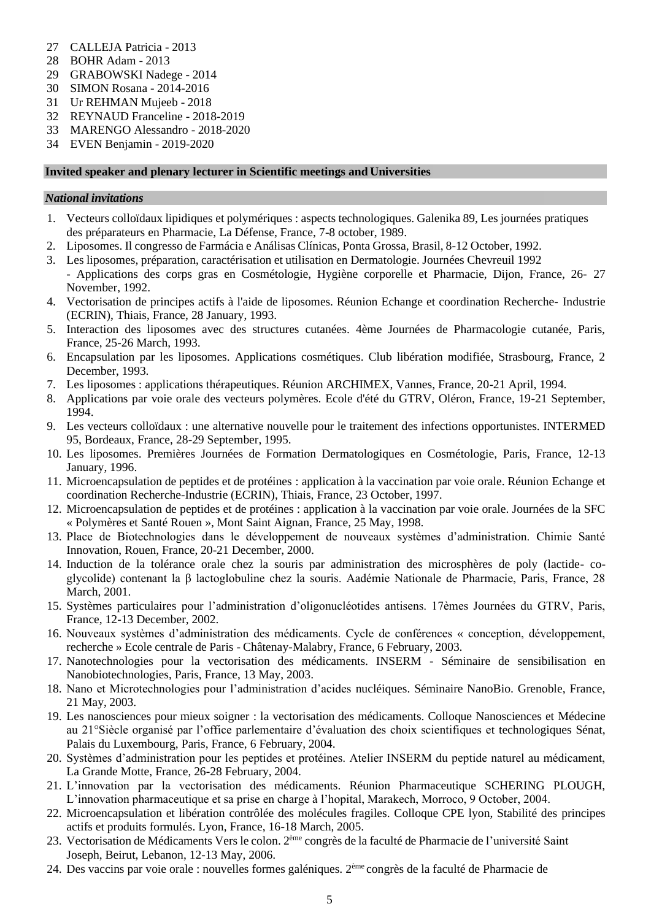- 27 CALLEJA Patricia 2013
- 28 BOHR Adam 2013
- 29 GRABOWSKI Nadege 2014
- 
- 30 SIMON Rosana 2014-2016 Ur REHMAN Mujeeb - 2018
- 32 REYNAUD Franceline 2018-2019
- 33 MARENGO Alessandro 2018-2020
- 34 EVEN Benjamin 2019-2020

#### **Invited speaker and plenary lecturer in Scientific meetings and Universities**

### *National invitations*

- 1. Vecteurs colloïdaux lipidiques et polymériques : aspects technologiques. Galenika 89, Les journées pratiques des préparateurs en Pharmacie, La Défense, France, 7-8 october, 1989.
- 2. Liposomes. Il congresso de Farmácia e Análisas Clínicas, Ponta Grossa, Brasil, 8-12 October, 1992.
- 3. Les liposomes, préparation, caractérisation et utilisation en Dermatologie. Journées Chevreuil 1992 - Applications des corps gras en Cosmétologie, Hygiène corporelle et Pharmacie, Dijon, France, 26- 27 November, 1992.
- 4. Vectorisation de principes actifs à l'aide de liposomes. Réunion Echange et coordination Recherche- Industrie (ECRIN), Thiais, France, 28 January, 1993.
- 5. Interaction des liposomes avec des structures cutanées. 4ème Journées de Pharmacologie cutanée, Paris, France, 25-26 March, 1993.
- 6. Encapsulation par les liposomes. Applications cosmétiques. Club libération modifiée, Strasbourg, France, 2 December, 1993.
- 7. Les liposomes : applications thérapeutiques. Réunion ARCHIMEX, Vannes, France, 20-21 April, 1994.
- 8. Applications par voie orale des vecteurs polymères. Ecole d'été du GTRV, Oléron, France, 19-21 September, 1994.
- 9. Les vecteurs colloïdaux : une alternative nouvelle pour le traitement des infections opportunistes. INTERMED 95, Bordeaux, France, 28-29 September, 1995.
- 10. Les liposomes. Premières Journées de Formation Dermatologiques en Cosmétologie, Paris, France, 12-13 January, 1996.
- 11. Microencapsulation de peptides et de protéines : application à la vaccination par voie orale. Réunion Echange et coordination Recherche-Industrie (ECRIN), Thiais, France, 23 October, 1997.
- 12. Microencapsulation de peptides et de protéines : application à la vaccination par voie orale. Journées de la SFC « Polymères et Santé Rouen », Mont Saint Aignan, France, 25 May, 1998.
- 13. Place de Biotechnologies dans le développement de nouveaux systèmes d'administration. Chimie Santé Innovation, Rouen, France, 20-21 December, 2000.
- 14. Induction de la tolérance orale chez la souris par administration des microsphères de poly (lactide- coglycolide) contenant la β lactoglobuline chez la souris. Aadémie Nationale de Pharmacie, Paris, France, 28 March, 2001.
- 15. Systèmes particulaires pour l'administration d'oligonucléotides antisens. 17èmes Journées du GTRV, Paris, France, 12-13 December, 2002.
- 16. Nouveaux systèmes d'administration des médicaments. Cycle de conférences « conception, développement, recherche » Ecole centrale de Paris - Châtenay-Malabry, France, 6 February, 2003.
- 17. Nanotechnologies pour la vectorisation des médicaments. INSERM Séminaire de sensibilisation en Nanobiotechnologies, Paris, France, 13 May, 2003.
- 18. Nano et Microtechnologies pour l'administration d'acides nucléiques. Séminaire NanoBio. Grenoble, France, 21 May, 2003.
- 19. Les nanosciences pour mieux soigner : la vectorisation des médicaments. Colloque Nanosciences et Médecine au 21°Siècle organisé par l'office parlementaire d'évaluation des choix scientifiques et technologiques Sénat, Palais du Luxembourg, Paris, France, 6 February, 2004.
- 20. Systèmes d'administration pour les peptides et protéines. Atelier INSERM du peptide naturel au médicament, La Grande Motte, France, 26-28 February, 2004.
- 21. L'innovation par la vectorisation des médicaments. Réunion Pharmaceutique SCHERING PLOUGH, L'innovation pharmaceutique et sa prise en charge à l'hopital, Marakech, Morroco, 9 October, 2004.
- 22. Microencapsulation et libération contrôlée des molécules fragiles. Colloque CPE lyon, Stabilité des principes actifs et produits formulés. Lyon, France, 16-18 March, 2005.
- 23. Vectorisation de Médicaments Vers le colon. 2<sup>ème</sup> congrès de la faculté de Pharmacie de l'université Saint Joseph, Beirut, Lebanon, 12-13 May, 2006.
- 24. Des vaccins par voie orale : nouvelles formes galéniques. 2ème congrès de la faculté de Pharmacie de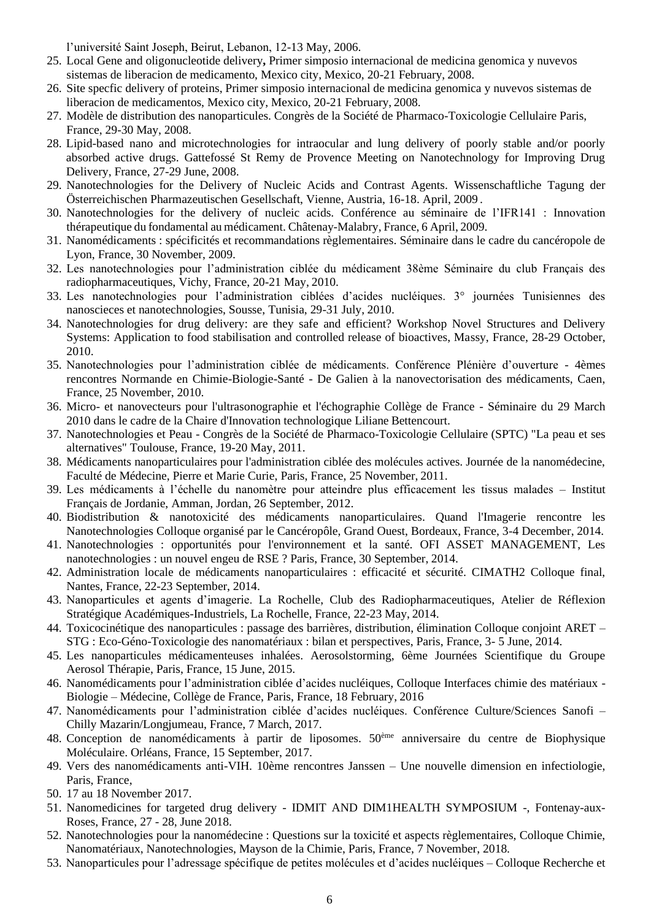l'université Saint Joseph, Beirut, Lebanon, 12-13 May, 2006.

- 25. Local Gene and oligonucleotide delivery**,** Primer simposio internacional de medicina genomica y nuvevos sistemas de liberacion de medicamento, Mexico city, Mexico, 20-21 February, 2008.
- 26. Site specfic delivery of proteins, Primer simposio internacional de medicina genomica y nuvevos sistemas de liberacion de medicamentos, Mexico city, Mexico, 20-21 February, 2008.
- 27. Modèle de distribution des nanoparticules. Congrès de la Société de Pharmaco-Toxicologie Cellulaire Paris, France, 29-30 May, 2008.
- 28. Lipid-based nano and microtechnologies for intraocular and lung delivery of poorly stable and/or poorly absorbed active drugs. Gattefossé St Remy de Provence Meeting on Nanotechnology for Improving Drug Delivery, France, 27-29 June, 2008.
- 29. Nanotechnologies for the Delivery of Nucleic Acids and Contrast Agents. Wissenschaftliche Tagung der Österreichischen Pharmazeutischen Gesellschaft, Vienne, Austria, 16-18. April, 2009 .
- 30. Nanotechnologies for the delivery of nucleic acids. Conférence au séminaire de l'IFR141 : Innovation thérapeutique du fondamental au médicament. Châtenay-Malabry, France, 6 April, 2009.
- 31. Nanomédicaments : spécificités et recommandations règlementaires. Séminaire dans le cadre du cancéropole de Lyon, France, 30 November, 2009.
- 32. Les nanotechnologies pour l'administration ciblée du médicament 38ème Séminaire du club Français des radiopharmaceutiques, Vichy, France, 20-21 May, 2010.
- 33. Les nanotechnologies pour l'administration ciblées d'acides nucléiques. 3° journées Tunisiennes des nanoscieces et nanotechnologies, Sousse, Tunisia, 29-31 July, 2010.
- 34. Nanotechnologies for drug delivery: are they safe and efficient? Workshop Novel Structures and Delivery Systems: Application to food stabilisation and controlled release of bioactives, Massy, France, 28-29 October, 2010.
- 35. Nanotechnologies pour l'administration ciblée de médicaments. Conférence Plénière d'ouverture 4èmes rencontres Normande en Chimie-Biologie-Santé - De Galien à la nanovectorisation des médicaments, Caen, France, 25 November, 2010.
- 36. Micro- et nanovecteurs pour l'ultrasonographie et l'échographie Collège de France Séminaire du 29 March 2010 dans le cadre de la Chaire d'Innovation technologique Liliane Bettencourt.
- 37. Nanotechnologies et Peau Congrès de la Société de Pharmaco-Toxicologie Cellulaire (SPTC) "La peau et ses alternatives" Toulouse, France, 19-20 May, 2011.
- 38. Médicaments nanoparticulaires pour l'administration ciblée des molécules actives. Journée de la nanomédecine, Faculté de Médecine, Pierre et Marie Curie, Paris, France, 25 November, 2011.
- 39. Les médicaments à l'échelle du nanomètre pour atteindre plus efficacement les tissus malades Institut Français de Jordanie, Amman, Jordan, 26 September, 2012.
- 40. Biodistribution & nanotoxicité des médicaments nanoparticulaires. Quand l'Imagerie rencontre les Nanotechnologies Colloque organisé par le Cancéropôle, Grand Ouest, Bordeaux, France, 3-4 December, 2014.
- 41. Nanotechnologies : opportunités pour l'environnement et la santé. OFI ASSET MANAGEMENT, Les nanotechnologies : un nouvel engeu de RSE ? Paris, France, 30 September, 2014.
- 42. Administration locale de médicaments nanoparticulaires : efficacité et sécurité. CIMATH2 Colloque final, Nantes, France, 22-23 September, 2014.
- 43. Nanoparticules et agents d'imagerie. La Rochelle, Club des Radiopharmaceutiques, Atelier de Réflexion Stratégique Académiques-Industriels, La Rochelle, France, 22-23 May, 2014.
- 44. Toxicocinétique des nanoparticules : passage des barrières, distribution, élimination Colloque conjoint ARET STG : Eco-Géno-Toxicologie des nanomatériaux : bilan et perspectives, Paris, France, 3- 5 June, 2014.
- 45. Les nanoparticules médicamenteuses inhalées. Aerosolstorming, 6ème Journées Scientifique du Groupe Aerosol Thérapie, Paris, France, 15 June, 2015.
- 46. Nanomédicaments pour l'administration ciblée d'acides nucléiques, Colloque Interfaces chimie des matériaux Biologie – Médecine, Collège de France, Paris, France, 18 February, 2016
- 47. Nanomédicaments pour l'administration ciblée d'acides nucléiques. Conférence Culture/Sciences Sanofi Chilly Mazarin/Longjumeau, France, 7 March, 2017.
- 48. Conception de nanomédicaments à partir de liposomes. 50ème anniversaire du centre de Biophysique Moléculaire. Orléans, France, 15 September, 2017.
- 49. Vers des nanomédicaments anti-VIH. 10ème rencontres Janssen Une nouvelle dimension en infectiologie, Paris, France,
- 50. 17 au 18 November 2017.
- 51. Nanomedicines for targeted drug delivery IDMIT AND DIM1HEALTH SYMPOSIUM -, Fontenay-aux-Roses, France, 27 - 28, June 2018.
- 52. Nanotechnologies pour la nanomédecine : Questions sur la toxicité et aspects règlementaires, Colloque Chimie, Nanomatériaux, Nanotechnologies, Mayson de la Chimie, Paris, France, 7 November, 2018.
- 53. Nanoparticules pour l'adressage spécifique de petites molécules et d'acides nucléiques Colloque Recherche et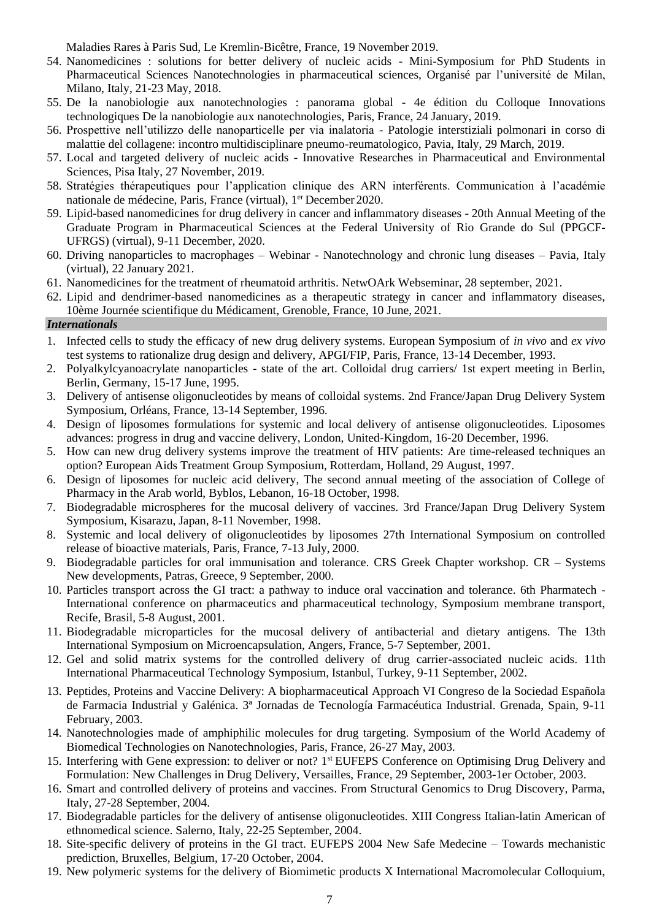Maladies Rares à Paris Sud, Le Kremlin-Bicêtre, France, 19 November 2019.

- 54. Nanomedicines : solutions for better delivery of nucleic acids Mini-Symposium for PhD Students in Pharmaceutical Sciences Nanotechnologies in pharmaceutical sciences, Organisé par l'université de Milan, Milano, Italy, 21-23 May, 2018.
- 55. De la nanobiologie aux nanotechnologies : panorama global 4e édition du Colloque Innovations technologiques De la nanobiologie aux nanotechnologies, Paris, France, 24 January, 2019.
- 56. Prospettive nell'utilizzo delle nanoparticelle per via inalatoria Patologie interstiziali polmonari in corso di malattie del collagene: incontro multidisciplinare pneumo-reumatologico, Pavia, Italy, 29 March, 2019.
- 57. Local and targeted delivery of nucleic acids Innovative Researches in Pharmaceutical and Environmental Sciences, Pisa Italy, 27 November, 2019.
- 58. Stratégies thérapeutiques pour l'application clinique des ARN interférents. Communication à l'académie nationale de médecine, Paris, France (virtual), 1<sup>er</sup> December 2020.
- 59. Lipid-based nanomedicines for drug delivery in cancer and inflammatory diseases 20th Annual Meeting of the Graduate Program in Pharmaceutical Sciences at the Federal University of Rio Grande do Sul (PPGCF-UFRGS) (virtual), 9-11 December, 2020.
- 60. Driving nanoparticles to macrophages Webinar Nanotechnology and chronic lung diseases Pavia, Italy (virtual), 22 January 2021.
- 61. Nanomedicines for the treatment of rheumatoid arthritis. NetwOArk Webseminar, 28 september, 2021.
- 62. Lipid and dendrimer-based nanomedicines as a therapeutic strategy in cancer and inflammatory diseases, 10ème Journée scientifique du Médicament, Grenoble, France, 10 June, 2021.

### *Internationals*

- 1. Infected cells to study the efficacy of new drug delivery systems. European Symposium of *in vivo* and *ex vivo*  test systems to rationalize drug design and delivery, APGI/FIP, Paris, France, 13-14 December, 1993.
- 2. Polyalkylcyanoacrylate nanoparticles state of the art. Colloidal drug carriers/ 1st expert meeting in Berlin, Berlin, Germany, 15-17 June, 1995.
- 3. Delivery of antisense oligonucleotides by means of colloidal systems. 2nd France/Japan Drug Delivery System Symposium, Orléans, France, 13-14 September, 1996.
- 4. Design of liposomes formulations for systemic and local delivery of antisense oligonucleotides. Liposomes advances: progress in drug and vaccine delivery, London, United-Kingdom, 16-20 December, 1996.
- 5. How can new drug delivery systems improve the treatment of HIV patients: Are time-released techniques an option? European Aids Treatment Group Symposium, Rotterdam, Holland, 29 August, 1997.
- 6. Design of liposomes for nucleic acid delivery, The second annual meeting of the association of College of Pharmacy in the Arab world, Byblos, Lebanon, 16-18 October, 1998.
- 7. Biodegradable microspheres for the mucosal delivery of vaccines. 3rd France/Japan Drug Delivery System Symposium, Kisarazu, Japan, 8-11 November, 1998.
- 8. Systemic and local delivery of oligonucleotides by liposomes 27th International Symposium on controlled release of bioactive materials, Paris, France, 7-13 July, 2000.
- 9. Biodegradable particles for oral immunisation and tolerance. CRS Greek Chapter workshop. CR Systems New developments, Patras, Greece, 9 September, 2000.
- 10. Particles transport across the GI tract: a pathway to induce oral vaccination and tolerance. 6th Pharmatech International conference on pharmaceutics and pharmaceutical technology, Symposium membrane transport, Recife, Brasil, 5-8 August, 2001.
- 11. Biodegradable microparticles for the mucosal delivery of antibacterial and dietary antigens. The 13th International Symposium on Microencapsulation, Angers, France, 5-7 September, 2001.
- 12. Gel and solid matrix systems for the controlled delivery of drug carrier-associated nucleic acids. 11th International Pharmaceutical Technology Symposium, Istanbul, Turkey, 9-11 September, 2002.
- 13. Peptides, Proteins and Vaccine Delivery: A biopharmaceutical Approach VI Congreso de la Sociedad Española de Farmacia Industrial y Galénica. 3ª Jornadas de Tecnología Farmacéutica Industrial. Grenada, Spain, 9-11 February, 2003.
- 14. Nanotechnologies made of amphiphilic molecules for drug targeting. Symposium of the World Academy of Biomedical Technologies on Nanotechnologies, Paris, France, 26-27 May, 2003.
- 15. Interfering with Gene expression: to deliver or not? 1<sup>st</sup> EUFEPS Conference on Optimising Drug Delivery and Formulation: New Challenges in Drug Delivery, Versailles, France, 29 September, 2003-1er October, 2003.
- 16. Smart and controlled delivery of proteins and vaccines. From Structural Genomics to Drug Discovery, Parma, Italy, 27-28 September, 2004.
- 17. Biodegradable particles for the delivery of antisense oligonucleotides. XIII Congress Italian-latin American of ethnomedical science. Salerno, Italy, 22-25 September, 2004.
- 18. Site-specific delivery of proteins in the GI tract. EUFEPS 2004 New Safe Medecine Towards mechanistic prediction, Bruxelles, Belgium, 17-20 October, 2004.
- 19. New polymeric systems for the delivery of Biomimetic products X International Macromolecular Colloquium,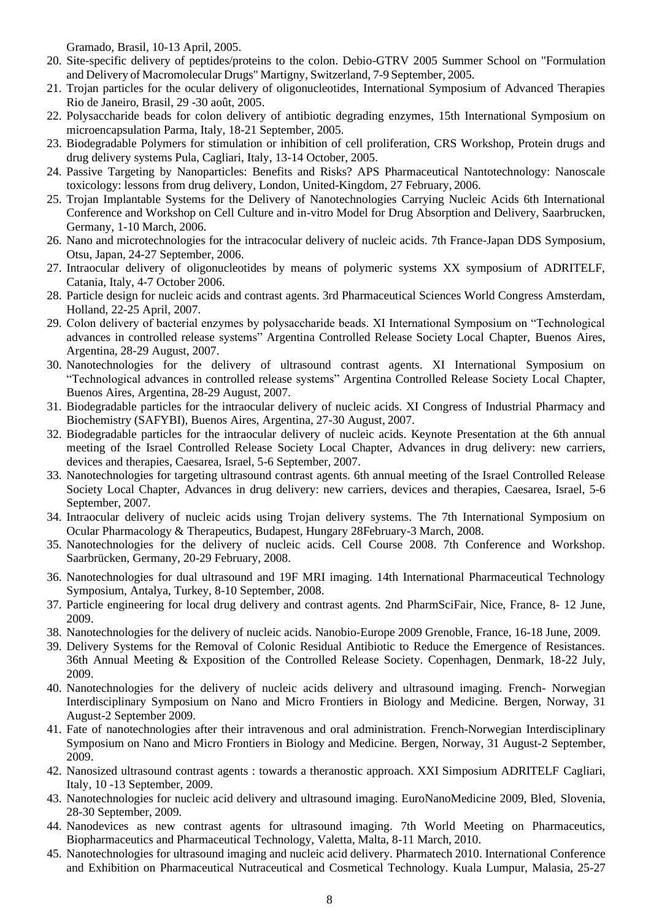Gramado, Brasil, 10-13 April, 2005.

- 20. Site-specific delivery of peptides/proteins to the colon. Debio-GTRV 2005 Summer School on "Formulation and Delivery of Macromolecular Drugs" Martigny, Switzerland, 7-9 September, 2005.
- 21. Trojan particles for the ocular delivery of oligonucleotides, International Symposium of Advanced Therapies Rio de Janeiro, Brasil, 29 -30 août, 2005.
- 22. Polysaccharide beads for colon delivery of antibiotic degrading enzymes, 15th International Symposium on microencapsulation Parma, Italy, 18-21 September, 2005.
- 23. Biodegradable Polymers for stimulation or inhibition of cell proliferation, CRS Workshop, Protein drugs and drug delivery systems Pula, Cagliari, Italy, 13-14 October, 2005.
- 24. Passive Targeting by Nanoparticles: Benefits and Risks? APS Pharmaceutical Nantotechnology: Nanoscale toxicology: lessons from drug delivery, London, United-Kingdom, 27 February, 2006.
- 25. Trojan Implantable Systems for the Delivery of Nanotechnologies Carrying Nucleic Acids 6th International Conference and Workshop on Cell Culture and in-vitro Model for Drug Absorption and Delivery, Saarbrucken, Germany, 1-10 March, 2006.
- 26. Nano and microtechnologies for the intracocular delivery of nucleic acids. 7th France-Japan DDS Symposium, Otsu, Japan, 24-27 September, 2006.
- 27. Intraocular delivery of oligonucleotides by means of polymeric systems XX symposium of ADRITELF, Catania, Italy, 4-7 October 2006.
- 28. Particle design for nucleic acids and contrast agents. 3rd Pharmaceutical Sciences World Congress Amsterdam, Holland, 22-25 April, 2007.
- 29. Colon delivery of bacterial enzymes by polysaccharide beads. XI International Symposium on "Technological advances in controlled release systems" Argentina Controlled Release Society Local Chapter, Buenos Aires, Argentina, 28-29 August, 2007.
- 30. Nanotechnologies for the delivery of ultrasound contrast agents. XI International Symposium on "Technological advances in controlled release systems" Argentina Controlled Release Society Local Chapter, Buenos Aires, Argentina, 28-29 August, 2007.
- 31. Biodegradable particles for the intraocular delivery of nucleic acids. XI Congress of Industrial Pharmacy and Biochemistry (SAFYBI), Buenos Aires, Argentina, 27-30 August, 2007.
- 32. Biodegradable particles for the intraocular delivery of nucleic acids. Keynote Presentation at the 6th annual meeting of the Israel Controlled Release Society Local Chapter, Advances in drug delivery: new carriers, devices and therapies, Caesarea, Israel, 5-6 September, 2007.
- 33. Nanotechnologies for targeting ultrasound contrast agents. 6th annual meeting of the Israel Controlled Release Society Local Chapter, Advances in drug delivery: new carriers, devices and therapies, Caesarea, Israel, 5-6 September, 2007.
- 34. Intraocular delivery of nucleic acids using Trojan delivery systems. The 7th International Symposium on Ocular Pharmacology & Therapeutics, Budapest, Hungary 28February-3 March, 2008.
- 35. Nanotechnologies for the delivery of nucleic acids. Cell Course 2008. 7th Conference and Workshop. Saarbrücken, Germany, 20-29 February, 2008.
- 36. Nanotechnologies for dual ultrasound and 19F MRI imaging. 14th International Pharmaceutical Technology Symposium, Antalya, Turkey, 8-10 September, 2008.
- 37. Particle engineering for local drug delivery and contrast agents. 2nd PharmSciFair, Nice, France, 8- 12 June, 2009.
- 38. Nanotechnologies for the delivery of nucleic acids. Nanobio-Europe 2009 Grenoble, France, 16-18 June, 2009.
- 39. Delivery Systems for the Removal of Colonic Residual Antibiotic to Reduce the Emergence of Resistances. 36th Annual Meeting & Exposition of the Controlled Release Society. Copenhagen, Denmark, 18-22 July, 2009.
- 40. Nanotechnologies for the delivery of nucleic acids delivery and ultrasound imaging. French- Norwegian Interdisciplinary Symposium on Nano and Micro Frontiers in Biology and Medicine. Bergen, Norway, 31 August-2 September 2009.
- 41. Fate of nanotechnologies after their intravenous and oral administration. French-Norwegian Interdisciplinary Symposium on Nano and Micro Frontiers in Biology and Medicine. Bergen, Norway, 31 August-2 September, 2009.
- 42. Nanosized ultrasound contrast agents : towards a theranostic approach. XXI Simposium ADRITELF Cagliari, Italy, 10 -13 September, 2009.
- 43. Nanotechnologies for nucleic acid delivery and ultrasound imaging. EuroNanoMedicine 2009, Bled, Slovenia, 28-30 September, 2009.
- 44. Nanodevices as new contrast agents for ultrasound imaging. 7th World Meeting on Pharmaceutics, Biopharmaceutics and Pharmaceutical Technology, Valetta, Malta, 8-11 March, 2010.
- 45. Nanotechnologies for ultrasound imaging and nucleic acid delivery. Pharmatech 2010. International Conference and Exhibition on Pharmaceutical Nutraceutical and Cosmetical Technology. Kuala Lumpur, Malasia, 25-27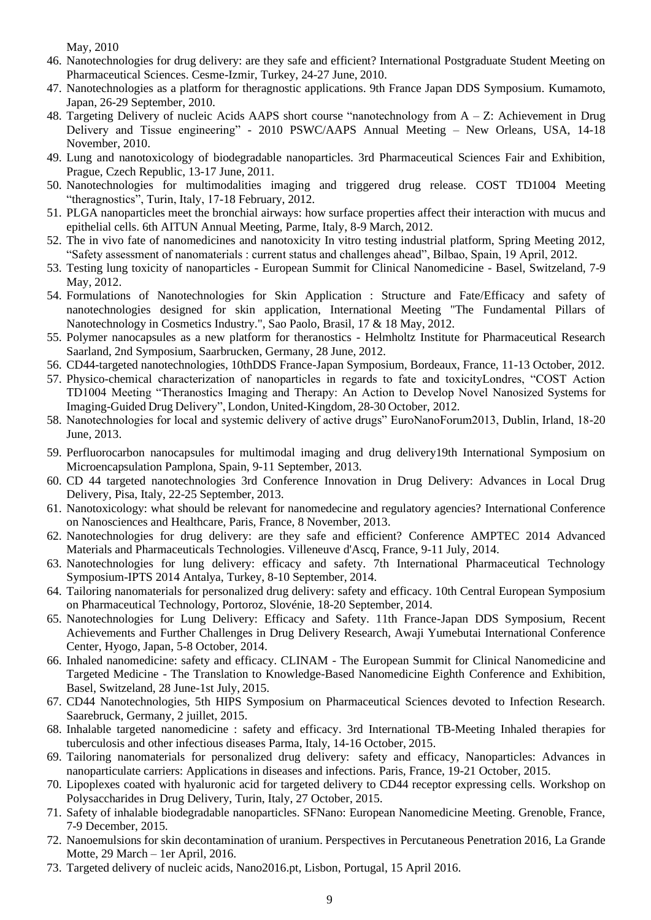May, 2010

- 46. Nanotechnologies for drug delivery: are they safe and efficient? International Postgraduate Student Meeting on Pharmaceutical Sciences. Cesme-Izmir, Turkey, 24-27 June, 2010.
- 47. Nanotechnologies as a platform for theragnostic applications. 9th France Japan DDS Symposium. Kumamoto, Japan, 26-29 September, 2010.
- 48. Targeting Delivery of nucleic Acids AAPS short course "nanotechnology from A Z: Achievement in Drug Delivery and Tissue engineering" - 2010 PSWC/AAPS Annual Meeting – New Orleans, USA, 14-18 November, 2010.
- 49. Lung and nanotoxicology of biodegradable nanoparticles. 3rd Pharmaceutical Sciences Fair and Exhibition, Prague, Czech Republic, 13-17 June, 2011.
- 50. Nanotechnologies for multimodalities imaging and triggered drug release. COST TD1004 Meeting "theragnostics", Turin, Italy, 17-18 February, 2012.
- 51. PLGA nanoparticles meet the bronchial airways: how surface properties affect their interaction with mucus and epithelial cells. 6th AITUN Annual Meeting, Parme, Italy, 8-9 March, 2012.
- 52. The in vivo fate of nanomedicines and nanotoxicity In vitro testing industrial platform, Spring Meeting 2012, "Safety assessment of nanomaterials : current status and challenges ahead", Bilbao, Spain, 19 April, 2012.
- 53. Testing lung toxicity of nanoparticles European Summit for Clinical Nanomedicine Basel, Switzeland, 7-9 May, 2012.
- 54. Formulations of Nanotechnologies for Skin Application : Structure and Fate/Efficacy and safety of nanotechnologies designed for skin application, International Meeting "The Fundamental Pillars of Nanotechnology in Cosmetics Industry.", Sao Paolo, Brasil, 17 & 18 May, 2012.
- 55. Polymer nanocapsules as a new platform for theranostics Helmholtz Institute for Pharmaceutical Research Saarland, 2nd Symposium, Saarbrucken, Germany, 28 June, 2012.
- 56. CD44-targeted nanotechnologies, 10thDDS France-Japan Symposium, Bordeaux, France, 11-13 October, 2012.
- 57. Physico-chemical characterization of nanoparticles in regards to fate and toxicityLondres, "COST Action TD1004 Meeting "Theranostics Imaging and Therapy: An Action to Develop Novel Nanosized Systems for Imaging-Guided Drug Delivery", London, United-Kingdom, 28-30 October, 2012.
- 58. Nanotechnologies for local and systemic delivery of active drugs" EuroNanoForum2013, Dublin, Irland, 18-20 June, 2013.
- 59. Perfluorocarbon nanocapsules for multimodal imaging and drug delivery19th International Symposium on Microencapsulation Pamplona, Spain, 9-11 September, 2013.
- 60. CD 44 targeted nanotechnologies 3rd Conference Innovation in Drug Delivery: Advances in Local Drug Delivery, Pisa, Italy, 22-25 September, 2013.
- 61. Nanotoxicology: what should be relevant for nanomedecine and regulatory agencies? International Conference on Nanosciences and Healthcare, Paris, France, 8 November, 2013.
- 62. Nanotechnologies for drug delivery: are they safe and efficient? Conference AMPTEC 2014 Advanced Materials and Pharmaceuticals Technologies. Villeneuve d'Ascq, France, 9-11 July, 2014.
- 63. Nanotechnologies for lung delivery: efficacy and safety. 7th International Pharmaceutical Technology Symposium-IPTS 2014 Antalya, Turkey, 8-10 September, 2014.
- 64. Tailoring nanomaterials for personalized drug delivery: safety and efficacy. 10th Central European Symposium on Pharmaceutical Technology, Portoroz, Slovénie, 18-20 September, 2014.
- 65. Nanotechnologies for Lung Delivery: Efficacy and Safety. 11th France-Japan DDS Symposium, Recent Achievements and Further Challenges in Drug Delivery Research, Awaji Yumebutai International Conference Center, Hyogo, Japan, 5-8 October, 2014.
- 66. Inhaled nanomedicine: safety and efficacy. CLINAM The European Summit for Clinical Nanomedicine and Targeted Medicine - The Translation to Knowledge-Based Nanomedicine Eighth Conference and Exhibition, Basel, Switzeland, 28 June-1st July, 2015.
- 67. CD44 Nanotechnologies, 5th HIPS Symposium on Pharmaceutical Sciences devoted to Infection Research. Saarebruck, Germany, 2 juillet, 2015.
- 68. Inhalable targeted nanomedicine : safety and efficacy. 3rd International TB-Meeting Inhaled therapies for tuberculosis and other infectious diseases Parma, Italy, 14-16 October, 2015.
- 69. Tailoring nanomaterials for personalized drug delivery: safety and efficacy, Nanoparticles: Advances in nanoparticulate carriers: Applications in diseases and infections. Paris, France, 19-21 October, 2015.
- 70. Lipoplexes coated with hyaluronic acid for targeted delivery to CD44 receptor expressing cells. Workshop on Polysaccharides in Drug Delivery, Turin, Italy, 27 October, 2015.
- 71. Safety of inhalable biodegradable nanoparticles. SFNano: European Nanomedicine Meeting. Grenoble, France, 7-9 December, 2015.
- 72. Nanoemulsions for skin decontamination of uranium. Perspectives in Percutaneous Penetration 2016, La Grande Motte, 29 March – 1er April, 2016.
- 73. Targeted delivery of nucleic acids, Nano2016.pt, Lisbon, Portugal, 15 April 2016.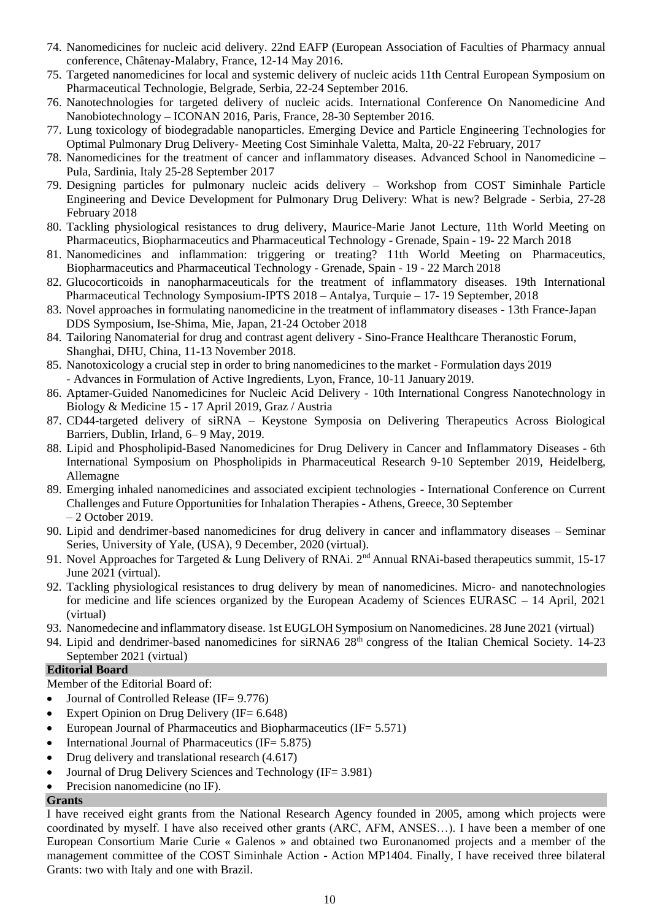- 74. Nanomedicines for nucleic acid delivery. 22nd EAFP (European Association of Faculties of Pharmacy annual conference, Châtenay-Malabry, France, 12-14 May 2016.
- 75. Targeted nanomedicines for local and systemic delivery of nucleic acids 11th Central European Symposium on Pharmaceutical Technologie, Belgrade, Serbia, 22-24 September 2016.
- 76. Nanotechnologies for targeted delivery of nucleic acids. International Conference On Nanomedicine And Nanobiotechnology – ICONAN 2016, Paris, France, 28-30 September 2016.
- 77. Lung toxicology of biodegradable nanoparticles. Emerging Device and Particle Engineering Technologies for Optimal Pulmonary Drug Delivery- Meeting Cost Siminhale Valetta, Malta, 20-22 February, 2017
- 78. Nanomedicines for the treatment of cancer and inflammatory diseases. Advanced School in Nanomedicine Pula, Sardinia, Italy 25-28 September 2017
- 79. Designing particles for pulmonary nucleic acids delivery Workshop from COST Siminhale Particle Engineering and Device Development for Pulmonary Drug Delivery: What is new? Belgrade - Serbia, 27-28 February 2018
- 80. Tackling physiological resistances to drug delivery, Maurice-Marie Janot Lecture, 11th World Meeting on Pharmaceutics, Biopharmaceutics and Pharmaceutical Technology - Grenade, Spain - 19- 22 March 2018
- 81. Nanomedicines and inflammation: triggering or treating? 11th World Meeting on Pharmaceutics, Biopharmaceutics and Pharmaceutical Technology - Grenade, Spain - 19 - 22 March 2018
- 82. Glucocorticoids in nanopharmaceuticals for the treatment of inflammatory diseases. 19th International Pharmaceutical Technology Symposium-IPTS 2018 – Antalya, Turquie – 17- 19 September, 2018
- 83. Novel approaches in formulating nanomedicine in the treatment of inflammatory diseases 13th France-Japan DDS Symposium, Ise-Shima, Mie, Japan, 21-24 October 2018
- 84. Tailoring Nanomaterial for drug and contrast agent delivery Sino-France Healthcare Theranostic Forum, Shanghai, DHU, China, 11-13 November 2018.
- 85. Nanotoxicology a crucial step in order to bring nanomedicines to the market Formulation days 2019 - Advances in Formulation of Active Ingredients, Lyon, France, 10-11 January 2019.
- 86. Aptamer-Guided Nanomedicines for Nucleic Acid Delivery 10th International Congress Nanotechnology in Biology & Medicine 15 - 17 April 2019, Graz / Austria
- 87. CD44-targeted delivery of siRNA Keystone Symposia on Delivering Therapeutics Across Biological Barriers, Dublin, Irland, 6– 9 May, 2019.
- 88. Lipid and Phospholipid-Based Nanomedicines for Drug Delivery in Cancer and Inflammatory Diseases 6th International Symposium on Phospholipids in Pharmaceutical Research 9-10 September 2019, Heidelberg, Allemagne
- 89. Emerging inhaled nanomedicines and associated excipient technologies International Conference on Current Challenges and Future Opportunities for Inhalation Therapies - Athens, Greece, 30 September – 2 October 2019.
- 90. Lipid and dendrimer-based nanomedicines for drug delivery in cancer and inflammatory diseases Seminar Series, University of Yale, (USA), 9 December, 2020 (virtual).
- 91. Novel Approaches for Targeted & Lung Delivery of RNAi. 2<sup>nd</sup> Annual RNAi-based therapeutics summit, 15-17 June 2021 (virtual).
- 92. Tackling physiological resistances to drug delivery by mean of nanomedicines. Micro- and nanotechnologies for medicine and life sciences organized by the European Academy of Sciences EURASC – 14 April, 2021 (virtual)
- 93. Nanomedecine and inflammatory disease. 1st EUGLOH Symposium on Nanomedicines. 28 June 2021 (virtual)
- 94. Lipid and dendrimer-based nanomedicines for siRNA6 28<sup>th</sup> congress of the Italian Chemical Society. 14-23 September 2021 (virtual)

# **Editorial Board**

Member of the Editorial Board of:

- Journal of Controlled Release (IF= 9.776)
- Expert Opinion on Drug Delivery (IF=  $6.648$ )
- European Journal of Pharmaceutics and Biopharmaceutics (IF=  $5.571$ )
- International Journal of Pharmaceutics (IF=  $5.875$ )
- Drug delivery and translational research (4.617)
- Journal of Drug Delivery Sciences and Technology (IF= 3.981)
- Precision nanomedicine (no IF).

#### **Grants**

I have received eight grants from the National Research Agency founded in 2005, among which projects were coordinated by myself. I have also received other grants (ARC, AFM, ANSES…). I have been a member of one European Consortium Marie Curie « Galenos » and obtained two Euronanomed projects and a member of the management committee of the COST Siminhale Action - Action MP1404. Finally, I have received three bilateral Grants: two with Italy and one with Brazil.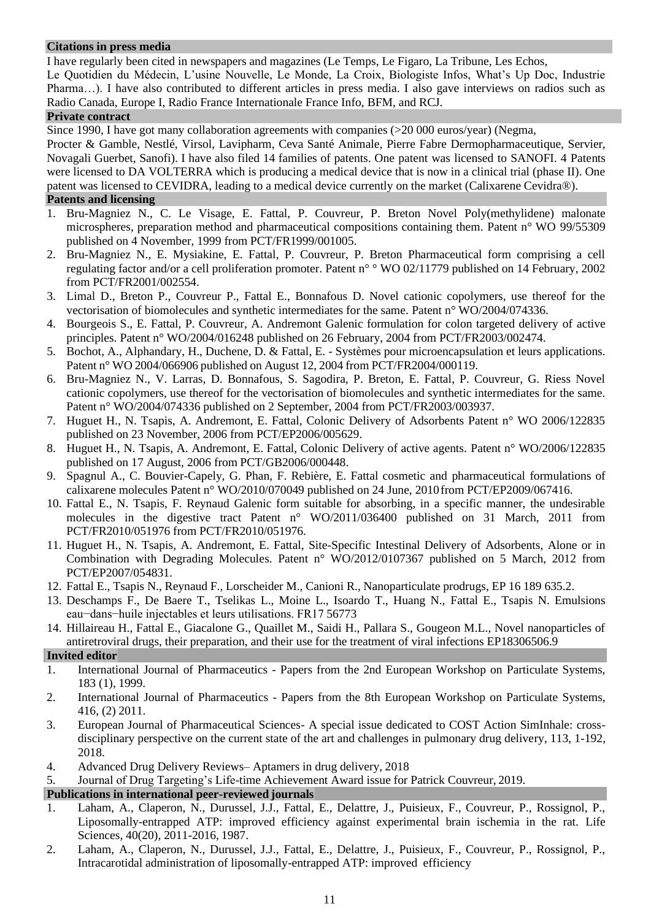### **Citations in press media**

I have regularly been cited in newspapers and magazines (Le Temps, Le Figaro, La Tribune, Les Echos,

Le Quotidien du Médecin, L'usine Nouvelle, Le Monde, La Croix, Biologiste Infos, What's Up Doc, Industrie Pharma…). I have also contributed to different articles in press media. I also gave interviews on radios such as Radio Canada, Europe I, Radio France Internationale France Info, BFM, and RCJ.

### **Private contract**

Since 1990, I have got many collaboration agreements with companies (>20 000 euros/year) (Negma,

Procter & Gamble, Nestlé, Virsol, Lavipharm, Ceva Santé Animale, Pierre Fabre Dermopharmaceutique, Servier, Novagali Guerbet, Sanofi). I have also filed 14 families of patents. One patent was licensed to SANOFI. 4 Patents were licensed to DA VOLTERRA which is producing a medical device that is now in a clinical trial (phase II). One patent was licensed to CEVIDRA, leading to a medical device currently on the market (Calixarene Cevidra®).

### **Patents and licensing**

- 1. Bru-Magniez N., C. Le Visage, E. Fattal, P. Couvreur, P. Breton Novel Poly(methylidene) malonate microspheres, preparation method and pharmaceutical compositions containing them. Patent n° WO 99/55309 published on 4 November, 1999 from PCT/FR1999/001005.
- 2. Bru-Magniez N., E. Mysiakine, E. Fattal, P. Couvreur, P. Breton Pharmaceutical form comprising a cell regulating factor and/or a cell proliferation promoter. Patent n° ° WO 02/11779 published on 14 February, 2002 from PCT/FR2001/002554.
- 3. Limal D., Breton P., Couvreur P., Fattal E., Bonnafous D. Novel cationic copolymers, use thereof for the vectorisation of biomolecules and synthetic intermediates for the same. Patent n° WO/2004/074336.
- 4. Bourgeois S., E. Fattal, P. Couvreur, A. Andremont Galenic formulation for colon targeted delivery of active principles. Patent n° WO/2004/016248 published on 26 February, 2004 from PCT/FR2003/002474.
- 5. Bochot, A., Alphandary, H., Duchene, D. & Fattal, E. Systèmes pour microencapsulation et leurs applications. Patent n° WO 2004/066906 published on August 12, 2004 from PCT/FR2004/000119.
- 6. Bru-Magniez N., V. Larras, D. Bonnafous, S. Sagodira, P. Breton, E. Fattal, P. Couvreur, G. Riess Novel cationic copolymers, use thereof for the vectorisation of biomolecules and synthetic intermediates for the same. Patent n° WO/2004/074336 published on 2 September, 2004 from PCT/FR2003/003937.
- 7. Huguet H., N. Tsapis, A. Andremont, E. Fattal, Colonic Delivery of Adsorbents Patent n° WO 2006/122835 published on 23 November, 2006 from PCT/EP2006/005629.
- 8. Huguet H., N. Tsapis, A. Andremont, E. Fattal, Colonic Delivery of active agents. Patent n° WO/2006/122835 published on 17 August, 2006 from PCT/GB2006/000448.
- 9. Spagnul A., C. Bouvier-Capely, G. Phan, F. Rebière, E. Fattal cosmetic and pharmaceutical formulations of calixarene molecules Patent n° WO/2010/070049 published on 24 June, 2010from PCT/EP2009/067416.
- 10. Fattal E., N. Tsapis, F. Reynaud Galenic form suitable for absorbing, in a specific manner, the undesirable molecules in the digestive tract Patent n° WO/2011/036400 published on 31 March, 2011 from PCT/FR2010/051976 from PCT/FR2010/051976.
- 11. Huguet H., N. Tsapis, A. Andremont, E. Fattal, Site-Specific Intestinal Delivery of Adsorbents, Alone or in Combination with Degrading Molecules. Patent n° WO/2012/0107367 published on 5 March, 2012 from PCT/EP2007/054831.
- 12. Fattal E., Tsapis N., Reynaud F., Lorscheider M., Canioni R., Nanoparticulate prodrugs, EP 16 189 635.2.
- 13. Deschamps F., De Baere T., Tselikas L., Moine L., Isoardo T., Huang N., Fattal E., Tsapis N. Emulsions eau−dans−huile injectables et leurs utilisations. FR17 56773
- 14. Hillaireau H., Fattal E., Giacalone G., Quaillet M., Saidi H., Pallara S., Gougeon M.L., Novel nanoparticles of antiretroviral drugs, their preparation, and their use for the treatment of viral infections EP18306506.9

# **Invited editor**

- 1. International Journal of Pharmaceutics Papers from the 2nd European Workshop on Particulate Systems, 183 (1), 1999.
- 2. International Journal of Pharmaceutics Papers from the 8th European Workshop on Particulate Systems, 416, (2) 2011.
- 3. European Journal of Pharmaceutical Sciences- A special issue dedicated to COST Action SimInhale: crossdisciplinary perspective on the current state of the art and challenges in pulmonary drug delivery, 113, 1-192, 2018.
- 4. Advanced Drug Delivery Reviews– Aptamers in drug delivery, 2018
- 5. Journal of Drug Targeting's Life-time Achievement Award issue for Patrick Couvreur, 2019.

# **Publications in international peer-reviewed journals**

- 1. Laham, A., Claperon, N., Durussel, J.J., Fattal, E., Delattre, J., Puisieux, F., Couvreur, P., Rossignol, P., Liposomally-entrapped ATP: improved efficiency against experimental brain ischemia in the rat. Life Sciences, 40(20), 2011-2016, 1987.
- 2. Laham, A., Claperon, N., Durussel, J.J., Fattal, E., Delattre, J., Puisieux, F., Couvreur, P., Rossignol, P., Intracarotidal administration of liposomally-entrapped ATP: improved efficiency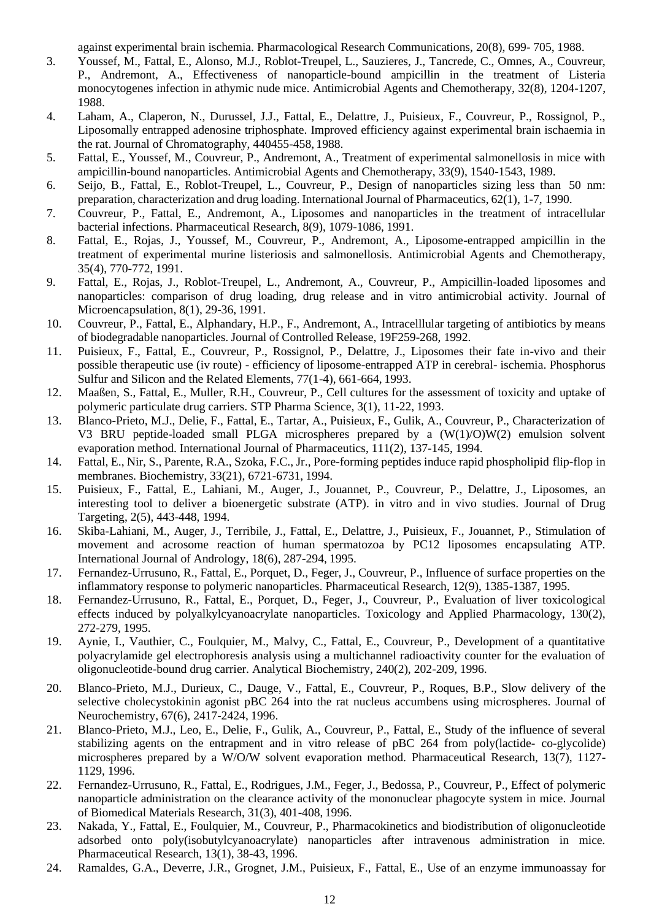against experimental brain ischemia. Pharmacological Research Communications, 20(8), 699- 705, 1988.

- 3. Youssef, M., Fattal, E., Alonso, M.J., Roblot-Treupel, L., Sauzieres, J., Tancrede, C., Omnes, A., Couvreur, P., Andremont, A., Effectiveness of nanoparticle-bound ampicillin in the treatment of Listeria monocytogenes infection in athymic nude mice. Antimicrobial Agents and Chemotherapy, 32(8), 1204-1207, 1988.
- 4. Laham, A., Claperon, N., Durussel, J.J., Fattal, E., Delattre, J., Puisieux, F., Couvreur, P., Rossignol, P., Liposomally entrapped adenosine triphosphate. Improved efficiency against experimental brain ischaemia in the rat. Journal of Chromatography, 440455-458, 1988.
- 5. Fattal, E., Youssef, M., Couvreur, P., Andremont, A., Treatment of experimental salmonellosis in mice with ampicillin-bound nanoparticles. Antimicrobial Agents and Chemotherapy, 33(9), 1540-1543, 1989.
- 6. Seijo, B., Fattal, E., Roblot-Treupel, L., Couvreur, P., Design of nanoparticles sizing less than 50 nm: preparation, characterization and drug loading. InternationalJournal of Pharmaceutics, 62(1), 1-7, 1990.
- 7. Couvreur, P., Fattal, E., Andremont, A., Liposomes and nanoparticles in the treatment of intracellular bacterial infections. Pharmaceutical Research, 8(9), 1079-1086, 1991.
- 8. Fattal, E., Rojas, J., Youssef, M., Couvreur, P., Andremont, A., Liposome-entrapped ampicillin in the treatment of experimental murine listeriosis and salmonellosis. Antimicrobial Agents and Chemotherapy, 35(4), 770-772, 1991.
- 9. Fattal, E., Rojas, J., Roblot-Treupel, L., Andremont, A., Couvreur, P., Ampicillin-loaded liposomes and nanoparticles: comparison of drug loading, drug release and in vitro antimicrobial activity. Journal of Microencapsulation, 8(1), 29-36, 1991.
- 10. Couvreur, P., Fattal, E., Alphandary, H.P., F., Andremont, A., Intracelllular targeting of antibiotics by means of biodegradable nanoparticles. Journal of Controlled Release, 19F259-268, 1992.
- 11. Puisieux, F., Fattal, E., Couvreur, P., Rossignol, P., Delattre, J., Liposomes their fate in-vivo and their possible therapeutic use (iv route) - efficiency of liposome-entrapped ATP in cerebral- ischemia. Phosphorus Sulfur and Silicon and the Related Elements, 77(1-4), 661-664, 1993.
- 12. Maaßen, S., Fattal, E., Muller, R.H., Couvreur, P., Cell cultures for the assessment of toxicity and uptake of polymeric particulate drug carriers. STP Pharma Science, 3(1), 11-22, 1993.
- 13. Blanco-Prieto, M.J., Delie, F., Fattal, E., Tartar, A., Puisieux, F., Gulik, A., Couvreur, P., Characterization of V3 BRU peptide-loaded small PLGA microspheres prepared by a (W(1)/O)W(2) emulsion solvent evaporation method. International Journal of Pharmaceutics, 111(2), 137-145, 1994.
- 14. Fattal, E., Nir, S., Parente, R.A., Szoka, F.C., Jr., Pore-forming peptides induce rapid phospholipid flip-flop in membranes. Biochemistry, 33(21), 6721-6731, 1994.
- 15. Puisieux, F., Fattal, E., Lahiani, M., Auger, J., Jouannet, P., Couvreur, P., Delattre, J., Liposomes, an interesting tool to deliver a bioenergetic substrate (ATP). in vitro and in vivo studies. Journal of Drug Targeting, 2(5), 443-448, 1994.
- 16. Skiba-Lahiani, M., Auger, J., Terribile, J., Fattal, E., Delattre, J., Puisieux, F., Jouannet, P., Stimulation of movement and acrosome reaction of human spermatozoa by PC12 liposomes encapsulating ATP. International Journal of Andrology, 18(6), 287-294, 1995.
- 17. Fernandez-Urrusuno, R., Fattal, E., Porquet, D., Feger, J., Couvreur, P., Influence of surface properties on the inflammatory response to polymeric nanoparticles. Pharmaceutical Research, 12(9), 1385-1387, 1995.
- 18. Fernandez-Urrusuno, R., Fattal, E., Porquet, D., Feger, J., Couvreur, P., Evaluation of liver toxicological effects induced by polyalkylcyanoacrylate nanoparticles. Toxicology and Applied Pharmacology, 130(2), 272-279, 1995.
- 19. Aynie, I., Vauthier, C., Foulquier, M., Malvy, C., Fattal, E., Couvreur, P., Development of a quantitative polyacrylamide gel electrophoresis analysis using a multichannel radioactivity counter for the evaluation of oligonucleotide-bound drug carrier. Analytical Biochemistry, 240(2), 202-209, 1996.
- 20. Blanco-Prieto, M.J., Durieux, C., Dauge, V., Fattal, E., Couvreur, P., Roques, B.P., Slow delivery of the selective cholecystokinin agonist pBC 264 into the rat nucleus accumbens using microspheres. Journal of Neurochemistry, 67(6), 2417-2424, 1996.
- 21. Blanco-Prieto, M.J., Leo, E., Delie, F., Gulik, A., Couvreur, P., Fattal, E., Study of the influence of several stabilizing agents on the entrapment and in vitro release of pBC 264 from poly(lactide- co-glycolide) microspheres prepared by a W/O/W solvent evaporation method. Pharmaceutical Research, 13(7), 1127- 1129, 1996.
- 22. Fernandez-Urrusuno, R., Fattal, E., Rodrigues, J.M., Feger, J., Bedossa, P., Couvreur, P., Effect of polymeric nanoparticle administration on the clearance activity of the mononuclear phagocyte system in mice. Journal of Biomedical Materials Research, 31(3), 401-408, 1996.
- 23. Nakada, Y., Fattal, E., Foulquier, M., Couvreur, P., Pharmacokinetics and biodistribution of oligonucleotide adsorbed onto poly(isobutylcyanoacrylate) nanoparticles after intravenous administration in mice. Pharmaceutical Research, 13(1), 38-43, 1996.
- 24. Ramaldes, G.A., Deverre, J.R., Grognet, J.M., Puisieux, F., Fattal, E., Use of an enzyme immunoassay for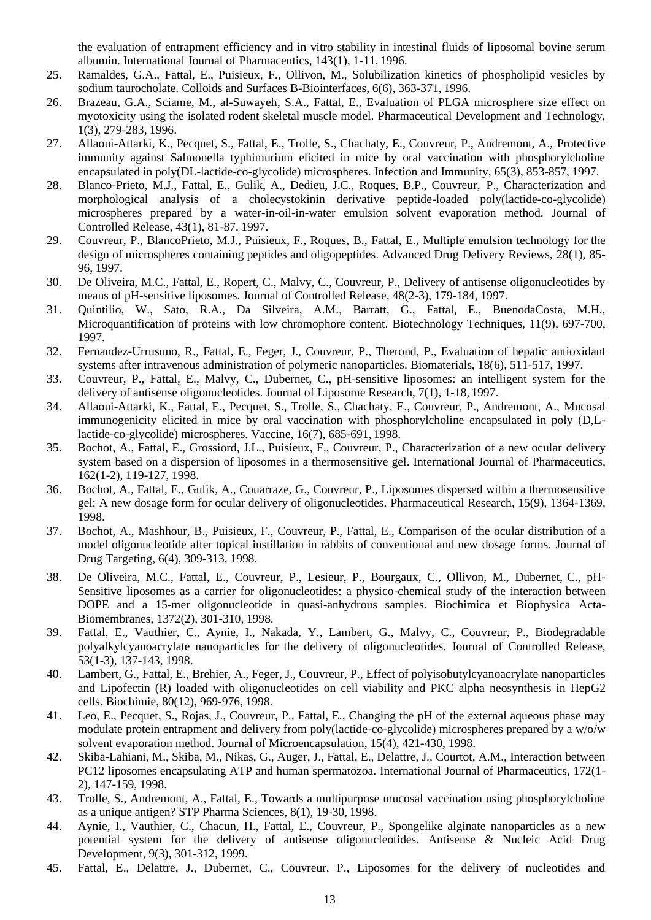the evaluation of entrapment efficiency and in vitro stability in intestinal fluids of liposomal bovine serum albumin. International Journal of Pharmaceutics, 143(1), 1-11, 1996.

- 25. Ramaldes, G.A., Fattal, E., Puisieux, F., Ollivon, M., Solubilization kinetics of phospholipid vesicles by sodium taurocholate. Colloids and Surfaces B-Biointerfaces, 6(6), 363-371, 1996.
- 26. Brazeau, G.A., Sciame, M., al-Suwayeh, S.A., Fattal, E., Evaluation of PLGA microsphere size effect on myotoxicity using the isolated rodent skeletal muscle model. Pharmaceutical Development and Technology, 1(3), 279-283, 1996.
- 27. Allaoui-Attarki, K., Pecquet, S., Fattal, E., Trolle, S., Chachaty, E., Couvreur, P., Andremont, A., Protective immunity against Salmonella typhimurium elicited in mice by oral vaccination with phosphorylcholine encapsulated in poly(DL-lactide-co-glycolide) microspheres. Infection and Immunity, 65(3), 853-857, 1997.
- 28. Blanco-Prieto, M.J., Fattal, E., Gulik, A., Dedieu, J.C., Roques, B.P., Couvreur, P., Characterization and morphological analysis of a cholecystokinin derivative peptide-loaded poly(lactide-co-glycolide) microspheres prepared by a water-in-oil-in-water emulsion solvent evaporation method. Journal of Controlled Release, 43(1), 81-87, 1997.
- 29. Couvreur, P., BlancoPrieto, M.J., Puisieux, F., Roques, B., Fattal, E., Multiple emulsion technology for the design of microspheres containing peptides and oligopeptides. Advanced Drug Delivery Reviews, 28(1), 85- 96, 1997.
- 30. De Oliveira, M.C., Fattal, E., Ropert, C., Malvy, C., Couvreur, P., Delivery of antisense oligonucleotides by means of pH-sensitive liposomes. Journal of Controlled Release, 48(2-3), 179-184, 1997.
- 31. Quintilio, W., Sato, R.A., Da Silveira, A.M., Barratt, G., Fattal, E., BuenodaCosta, M.H., Microquantification of proteins with low chromophore content. Biotechnology Techniques, 11(9), 697-700, 1997.
- 32. Fernandez-Urrusuno, R., Fattal, E., Feger, J., Couvreur, P., Therond, P., Evaluation of hepatic antioxidant systems after intravenous administration of polymeric nanoparticles. Biomaterials, 18(6), 511-517, 1997.
- 33. Couvreur, P., Fattal, E., Malvy, C., Dubernet, C., pH-sensitive liposomes: an intelligent system for the delivery of antisense oligonucleotides. Journal of Liposome Research, 7(1), 1-18, 1997.
- 34. Allaoui-Attarki, K., Fattal, E., Pecquet, S., Trolle, S., Chachaty, E., Couvreur, P., Andremont, A., Mucosal immunogenicity elicited in mice by oral vaccination with phosphorylcholine encapsulated in poly (D,Llactide-co-glycolide) microspheres. Vaccine, 16(7), 685-691, 1998.
- 35. Bochot, A., Fattal, E., Grossiord, J.L., Puisieux, F., Couvreur, P., Characterization of a new ocular delivery system based on a dispersion of liposomes in a thermosensitive gel. International Journal of Pharmaceutics, 162(1-2), 119-127, 1998.
- 36. Bochot, A., Fattal, E., Gulik, A., Couarraze, G., Couvreur, P., Liposomes dispersed within a thermosensitive gel: A new dosage form for ocular delivery of oligonucleotides. Pharmaceutical Research, 15(9), 1364-1369, 1998.
- 37. Bochot, A., Mashhour, B., Puisieux, F., Couvreur, P., Fattal, E., Comparison of the ocular distribution of a model oligonucleotide after topical instillation in rabbits of conventional and new dosage forms. Journal of Drug Targeting, 6(4), 309-313, 1998.
- 38. De Oliveira, M.C., Fattal, E., Couvreur, P., Lesieur, P., Bourgaux, C., Ollivon, M., Dubernet, C., pH-Sensitive liposomes as a carrier for oligonucleotides: a physico-chemical study of the interaction between DOPE and a 15-mer oligonucleotide in quasi-anhydrous samples. Biochimica et Biophysica Acta-Biomembranes, 1372(2), 301-310, 1998.
- 39. Fattal, E., Vauthier, C., Aynie, I., Nakada, Y., Lambert, G., Malvy, C., Couvreur, P., Biodegradable polyalkylcyanoacrylate nanoparticles for the delivery of oligonucleotides. Journal of Controlled Release, 53(1-3), 137-143, 1998.
- 40. Lambert, G., Fattal, E., Brehier, A., Feger, J., Couvreur, P., Effect of polyisobutylcyanoacrylate nanoparticles and Lipofectin (R) loaded with oligonucleotides on cell viability and PKC alpha neosynthesis in HepG2 cells. Biochimie, 80(12), 969-976, 1998.
- 41. Leo, E., Pecquet, S., Rojas, J., Couvreur, P., Fattal, E., Changing the pH of the external aqueous phase may modulate protein entrapment and delivery from poly(lactide-co-glycolide) microspheres prepared by a w/o/w solvent evaporation method. Journal of Microencapsulation, 15(4), 421-430, 1998.
- 42. Skiba-Lahiani, M., Skiba, M., Nikas, G., Auger, J., Fattal, E., Delattre, J., Courtot, A.M., Interaction between PC12 liposomes encapsulating ATP and human spermatozoa. International Journal of Pharmaceutics, 172(1- 2), 147-159, 1998.
- 43. Trolle, S., Andremont, A., Fattal, E., Towards a multipurpose mucosal vaccination using phosphorylcholine as a unique antigen? STP Pharma Sciences, 8(1), 19-30, 1998.
- 44. Aynie, I., Vauthier, C., Chacun, H., Fattal, E., Couvreur, P., Spongelike alginate nanoparticles as a new potential system for the delivery of antisense oligonucleotides. Antisense & Nucleic Acid Drug Development, 9(3), 301-312, 1999.
- 45. Fattal, E., Delattre, J., Dubernet, C., Couvreur, P., Liposomes for the delivery of nucleotides and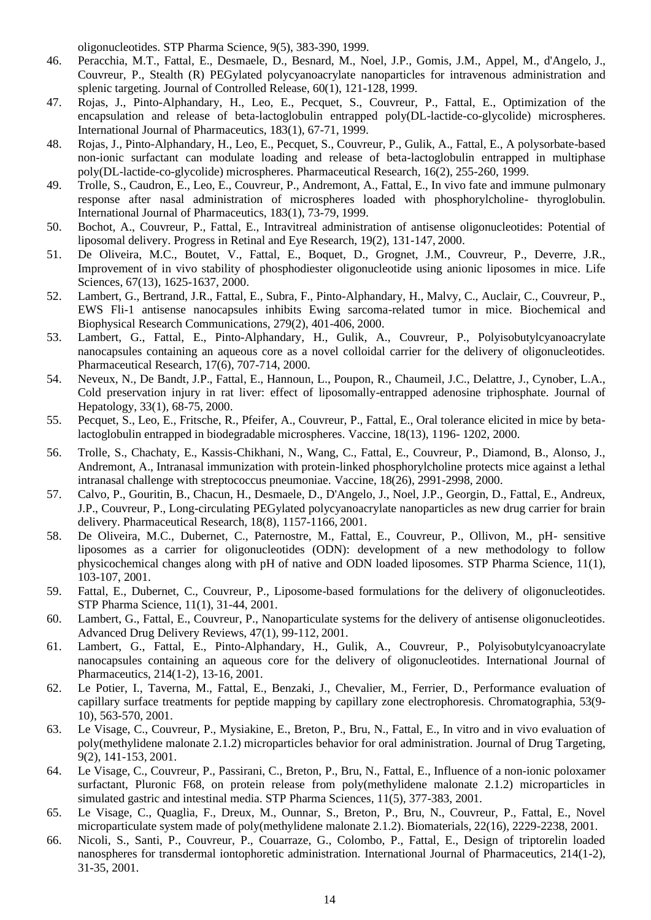oligonucleotides. STP Pharma Science, 9(5), 383-390, 1999.

- 46. Peracchia, M.T., Fattal, E., Desmaele, D., Besnard, M., Noel, J.P., Gomis, J.M., Appel, M., d'Angelo, J., Couvreur, P., Stealth (R) PEGylated polycyanoacrylate nanoparticles for intravenous administration and splenic targeting. Journal of Controlled Release, 60(1), 121-128, 1999.
- 47. Rojas, J., Pinto-Alphandary, H., Leo, E., Pecquet, S., Couvreur, P., Fattal, E., Optimization of the encapsulation and release of beta-lactoglobulin entrapped poly(DL-lactide-co-glycolide) microspheres. International Journal of Pharmaceutics, 183(1), 67-71, 1999.
- 48. Rojas, J., Pinto-Alphandary, H., Leo, E., Pecquet, S., Couvreur, P., Gulik, A., Fattal, E., A polysorbate-based non-ionic surfactant can modulate loading and release of beta-lactoglobulin entrapped in multiphase poly(DL-lactide-co-glycolide) microspheres. Pharmaceutical Research, 16(2), 255-260, 1999.
- 49. Trolle, S., Caudron, E., Leo, E., Couvreur, P., Andremont, A., Fattal, E., In vivo fate and immune pulmonary response after nasal administration of microspheres loaded with phosphorylcholine- thyroglobulin. International Journal of Pharmaceutics, 183(1), 73-79, 1999.
- 50. Bochot, A., Couvreur, P., Fattal, E., Intravitreal administration of antisense oligonucleotides: Potential of liposomal delivery. Progress in Retinal and Eye Research, 19(2), 131-147, 2000.
- 51. De Oliveira, M.C., Boutet, V., Fattal, E., Boquet, D., Grognet, J.M., Couvreur, P., Deverre, J.R., Improvement of in vivo stability of phosphodiester oligonucleotide using anionic liposomes in mice. Life Sciences, 67(13), 1625-1637, 2000.
- 52. Lambert, G., Bertrand, J.R., Fattal, E., Subra, F., Pinto-Alphandary, H., Malvy, C., Auclair, C., Couvreur, P., EWS Fli-1 antisense nanocapsules inhibits Ewing sarcoma-related tumor in mice. Biochemical and Biophysical Research Communications, 279(2), 401-406, 2000.
- 53. Lambert, G., Fattal, E., Pinto-Alphandary, H., Gulik, A., Couvreur, P., Polyisobutylcyanoacrylate nanocapsules containing an aqueous core as a novel colloidal carrier for the delivery of oligonucleotides. Pharmaceutical Research, 17(6), 707-714, 2000.
- 54. Neveux, N., De Bandt, J.P., Fattal, E., Hannoun, L., Poupon, R., Chaumeil, J.C., Delattre, J., Cynober, L.A., Cold preservation injury in rat liver: effect of liposomally-entrapped adenosine triphosphate. Journal of Hepatology, 33(1), 68-75, 2000.
- 55. Pecquet, S., Leo, E., Fritsche, R., Pfeifer, A., Couvreur, P., Fattal, E., Oral tolerance elicited in mice by betalactoglobulin entrapped in biodegradable microspheres. Vaccine, 18(13), 1196- 1202, 2000.
- 56. Trolle, S., Chachaty, E., Kassis-Chikhani, N., Wang, C., Fattal, E., Couvreur, P., Diamond, B., Alonso, J., Andremont, A., Intranasal immunization with protein-linked phosphorylcholine protects mice against a lethal intranasal challenge with streptococcus pneumoniae. Vaccine, 18(26), 2991-2998, 2000.
- 57. Calvo, P., Gouritin, B., Chacun, H., Desmaele, D., D'Angelo, J., Noel, J.P., Georgin, D., Fattal, E., Andreux, J.P., Couvreur, P., Long-circulating PEGylated polycyanoacrylate nanoparticles as new drug carrier for brain delivery. Pharmaceutical Research, 18(8), 1157-1166, 2001.
- 58. De Oliveira, M.C., Dubernet, C., Paternostre, M., Fattal, E., Couvreur, P., Ollivon, M., pH- sensitive liposomes as a carrier for oligonucleotides (ODN): development of a new methodology to follow physicochemical changes along with pH of native and ODN loaded liposomes. STP Pharma Science, 11(1), 103-107, 2001.
- 59. Fattal, E., Dubernet, C., Couvreur, P., Liposome-based formulations for the delivery of oligonucleotides. STP Pharma Science, 11(1), 31-44, 2001.
- 60. Lambert, G., Fattal, E., Couvreur, P., Nanoparticulate systems for the delivery of antisense oligonucleotides. Advanced Drug Delivery Reviews, 47(1), 99-112, 2001.
- 61. Lambert, G., Fattal, E., Pinto-Alphandary, H., Gulik, A., Couvreur, P., Polyisobutylcyanoacrylate nanocapsules containing an aqueous core for the delivery of oligonucleotides. International Journal of Pharmaceutics, 214(1-2), 13-16, 2001.
- 62. Le Potier, I., Taverna, M., Fattal, E., Benzaki, J., Chevalier, M., Ferrier, D., Performance evaluation of capillary surface treatments for peptide mapping by capillary zone electrophoresis. Chromatographia, 53(9- 10), 563-570, 2001.
- 63. Le Visage, C., Couvreur, P., Mysiakine, E., Breton, P., Bru, N., Fattal, E., In vitro and in vivo evaluation of poly(methylidene malonate 2.1.2) microparticles behavior for oral administration. Journal of Drug Targeting, 9(2), 141-153, 2001.
- 64. Le Visage, C., Couvreur, P., Passirani, C., Breton, P., Bru, N., Fattal, E., Influence of a non-ionic poloxamer surfactant, Pluronic F68, on protein release from poly(methylidene malonate 2.1.2) microparticles in simulated gastric and intestinal media. STP Pharma Sciences, 11(5), 377-383, 2001.
- 65. Le Visage, C., Quaglia, F., Dreux, M., Ounnar, S., Breton, P., Bru, N., Couvreur, P., Fattal, E., Novel microparticulate system made of poly(methylidene malonate 2.1.2). Biomaterials, 22(16), 2229-2238, 2001.
- 66. Nicoli, S., Santi, P., Couvreur, P., Couarraze, G., Colombo, P., Fattal, E., Design of triptorelin loaded nanospheres for transdermal iontophoretic administration. International Journal of Pharmaceutics, 214(1-2), 31-35, 2001.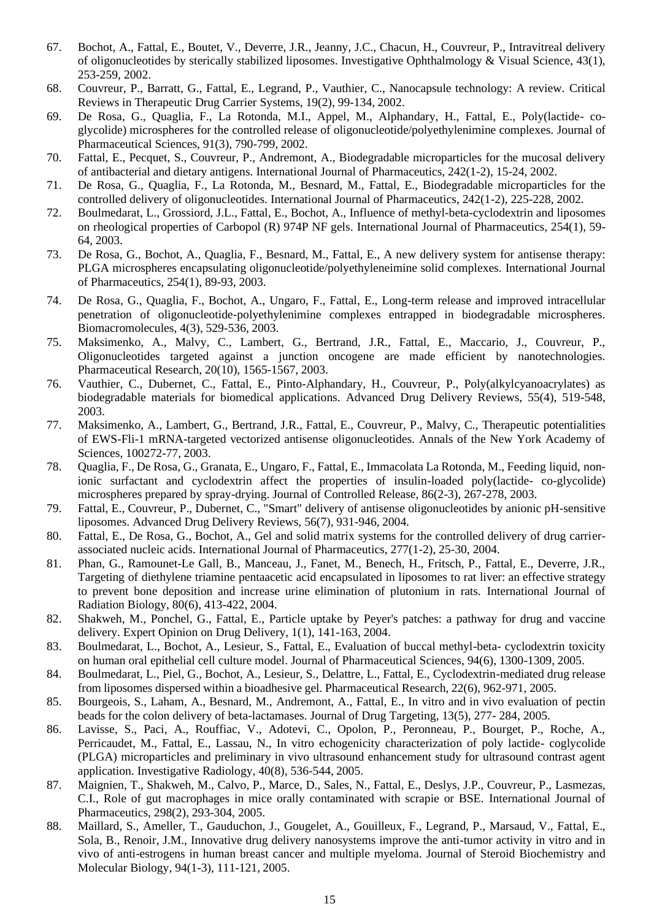- 67. Bochot, A., Fattal, E., Boutet, V., Deverre, J.R., Jeanny, J.C., Chacun, H., Couvreur, P., Intravitreal delivery of oligonucleotides by sterically stabilized liposomes. Investigative Ophthalmology & Visual Science, 43(1), 253-259, 2002.
- 68. Couvreur, P., Barratt, G., Fattal, E., Legrand, P., Vauthier, C., Nanocapsule technology: A review. Critical Reviews in Therapeutic Drug Carrier Systems, 19(2), 99-134, 2002.
- 69. De Rosa, G., Quaglia, F., La Rotonda, M.I., Appel, M., Alphandary, H., Fattal, E., Poly(lactide- coglycolide) microspheres for the controlled release of oligonucleotide/polyethylenimine complexes. Journal of Pharmaceutical Sciences, 91(3), 790-799, 2002.
- 70. Fattal, E., Pecquet, S., Couvreur, P., Andremont, A., Biodegradable microparticles for the mucosal delivery of antibacterial and dietary antigens. International Journal of Pharmaceutics, 242(1-2), 15-24, 2002.
- 71. De Rosa, G., Quaglia, F., La Rotonda, M., Besnard, M., Fattal, E., Biodegradable microparticles for the controlled delivery of oligonucleotides. International Journal of Pharmaceutics, 242(1-2), 225-228, 2002.
- 72. Boulmedarat, L., Grossiord, J.L., Fattal, E., Bochot, A., Influence of methyl-beta-cyclodextrin and liposomes on rheological properties of Carbopol (R) 974P NF gels. International Journal of Pharmaceutics, 254(1), 59- 64, 2003.
- 73. De Rosa, G., Bochot, A., Quaglia, F., Besnard, M., Fattal, E., A new delivery system for antisense therapy: PLGA microspheres encapsulating oligonucleotide/polyethyleneimine solid complexes. International Journal of Pharmaceutics, 254(1), 89-93, 2003.
- 74. De Rosa, G., Quaglia, F., Bochot, A., Ungaro, F., Fattal, E., Long-term release and improved intracellular penetration of oligonucleotide-polyethylenimine complexes entrapped in biodegradable microspheres. Biomacromolecules, 4(3), 529-536, 2003.
- 75. Maksimenko, A., Malvy, C., Lambert, G., Bertrand, J.R., Fattal, E., Maccario, J., Couvreur, P., Oligonucleotides targeted against a junction oncogene are made efficient by nanotechnologies. Pharmaceutical Research, 20(10), 1565-1567, 2003.
- 76. Vauthier, C., Dubernet, C., Fattal, E., Pinto-Alphandary, H., Couvreur, P., Poly(alkylcyanoacrylates) as biodegradable materials for biomedical applications. Advanced Drug Delivery Reviews, 55(4), 519-548, 2003.
- 77. Maksimenko, A., Lambert, G., Bertrand, J.R., Fattal, E., Couvreur, P., Malvy, C., Therapeutic potentialities of EWS-Fli-1 mRNA-targeted vectorized antisense oligonucleotides. Annals of the New York Academy of Sciences, 100272-77, 2003.
- 78. Quaglia, F., De Rosa, G., Granata, E., Ungaro, F., Fattal, E., Immacolata La Rotonda, M., Feeding liquid, nonionic surfactant and cyclodextrin affect the properties of insulin-loaded poly(lactide- co-glycolide) microspheres prepared by spray-drying. Journal of Controlled Release, 86(2-3), 267-278, 2003.
- 79. Fattal, E., Couvreur, P., Dubernet, C., "Smart" delivery of antisense oligonucleotides by anionic pH-sensitive liposomes. Advanced Drug Delivery Reviews, 56(7), 931-946, 2004.
- 80. Fattal, E., De Rosa, G., Bochot, A., Gel and solid matrix systems for the controlled delivery of drug carrierassociated nucleic acids. International Journal of Pharmaceutics, 277(1-2), 25-30, 2004.
- 81. Phan, G., Ramounet-Le Gall, B., Manceau, J., Fanet, M., Benech, H., Fritsch, P., Fattal, E., Deverre, J.R., Targeting of diethylene triamine pentaacetic acid encapsulated in liposomes to rat liver: an effective strategy to prevent bone deposition and increase urine elimination of plutonium in rats. International Journal of Radiation Biology, 80(6), 413-422, 2004.
- 82. Shakweh, M., Ponchel, G., Fattal, E., Particle uptake by Peyer's patches: a pathway for drug and vaccine delivery. Expert Opinion on Drug Delivery, 1(1), 141-163, 2004.
- 83. Boulmedarat, L., Bochot, A., Lesieur, S., Fattal, E., Evaluation of buccal methyl-beta- cyclodextrin toxicity on human oral epithelial cell culture model. Journal of Pharmaceutical Sciences, 94(6), 1300-1309, 2005.
- 84. Boulmedarat, L., Piel, G., Bochot, A., Lesieur, S., Delattre, L., Fattal, E., Cyclodextrin-mediated drug release from liposomes dispersed within a bioadhesive gel. Pharmaceutical Research, 22(6), 962-971, 2005.
- 85. Bourgeois, S., Laham, A., Besnard, M., Andremont, A., Fattal, E., In vitro and in vivo evaluation of pectin beads for the colon delivery of beta-lactamases. Journal of Drug Targeting, 13(5), 277- 284, 2005.
- 86. Lavisse, S., Paci, A., Rouffiac, V., Adotevi, C., Opolon, P., Peronneau, P., Bourget, P., Roche, A., Perricaudet, M., Fattal, E., Lassau, N., In vitro echogenicity characterization of poly lactide- coglycolide (PLGA) microparticles and preliminary in vivo ultrasound enhancement study for ultrasound contrast agent application. Investigative Radiology, 40(8), 536-544, 2005.
- 87. Maignien, T., Shakweh, M., Calvo, P., Marce, D., Sales, N., Fattal, E., Deslys, J.P., Couvreur, P., Lasmezas, C.I., Role of gut macrophages in mice orally contaminated with scrapie or BSE. International Journal of Pharmaceutics, 298(2), 293-304, 2005.
- 88. Maillard, S., Ameller, T., Gauduchon, J., Gougelet, A., Gouilleux, F., Legrand, P., Marsaud, V., Fattal, E., Sola, B., Renoir, J.M., Innovative drug delivery nanosystems improve the anti-tumor activity in vitro and in vivo of anti-estrogens in human breast cancer and multiple myeloma. Journal of Steroid Biochemistry and Molecular Biology, 94(1-3), 111-121, 2005.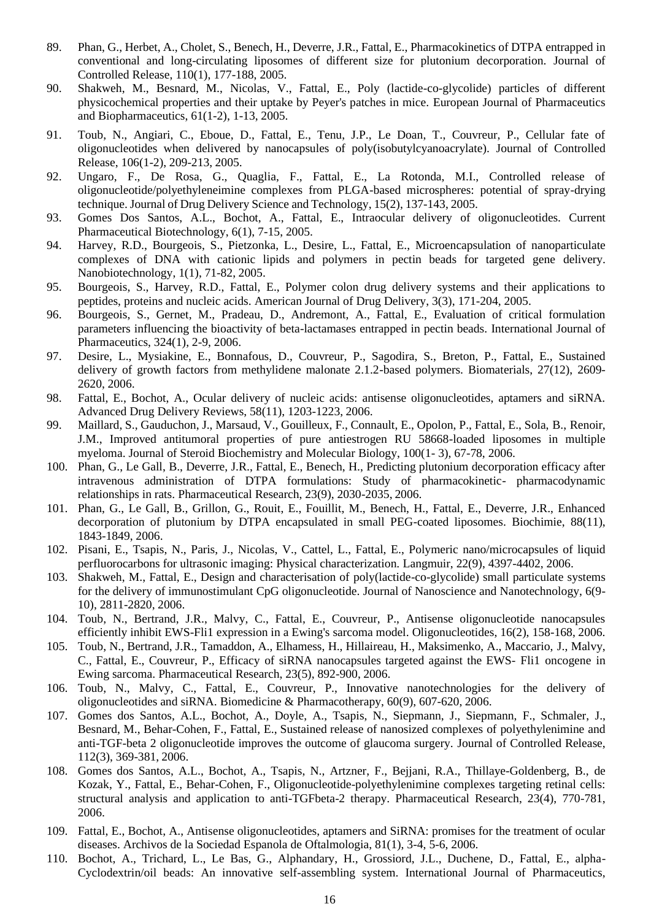- 89. Phan, G., Herbet, A., Cholet, S., Benech, H., Deverre, J.R., Fattal, E., Pharmacokinetics of DTPA entrapped in conventional and long-circulating liposomes of different size for plutonium decorporation. Journal of Controlled Release, 110(1), 177-188, 2005.
- 90. Shakweh, M., Besnard, M., Nicolas, V., Fattal, E., Poly (lactide-co-glycolide) particles of different physicochemical properties and their uptake by Peyer's patches in mice. European Journal of Pharmaceutics and Biopharmaceutics, 61(1-2), 1-13, 2005.
- 91. Toub, N., Angiari, C., Eboue, D., Fattal, E., Tenu, J.P., Le Doan, T., Couvreur, P., Cellular fate of oligonucleotides when delivered by nanocapsules of poly(isobutylcyanoacrylate). Journal of Controlled Release, 106(1-2), 209-213, 2005.
- 92. Ungaro, F., De Rosa, G., Quaglia, F., Fattal, E., La Rotonda, M.I., Controlled release of oligonucleotide/polyethyleneimine complexes from PLGA-based microspheres: potential of spray-drying technique. Journal of Drug Delivery Science and Technology, 15(2), 137-143, 2005.
- 93. Gomes Dos Santos, A.L., Bochot, A., Fattal, E., Intraocular delivery of oligonucleotides. Current Pharmaceutical Biotechnology, 6(1), 7-15, 2005.
- 94. Harvey, R.D., Bourgeois, S., Pietzonka, L., Desire, L., Fattal, E., Microencapsulation of nanoparticulate complexes of DNA with cationic lipids and polymers in pectin beads for targeted gene delivery. Nanobiotechnology, 1(1), 71-82, 2005.
- 95. Bourgeois, S., Harvey, R.D., Fattal, E., Polymer colon drug delivery systems and their applications to peptides, proteins and nucleic acids. American Journal of Drug Delivery, 3(3), 171-204, 2005.
- 96. Bourgeois, S., Gernet, M., Pradeau, D., Andremont, A., Fattal, E., Evaluation of critical formulation parameters influencing the bioactivity of beta-lactamases entrapped in pectin beads. International Journal of Pharmaceutics, 324(1), 2-9, 2006.
- 97. Desire, L., Mysiakine, E., Bonnafous, D., Couvreur, P., Sagodira, S., Breton, P., Fattal, E., Sustained delivery of growth factors from methylidene malonate 2.1.2-based polymers. Biomaterials, 27(12), 2609- 2620, 2006.
- 98. Fattal, E., Bochot, A., Ocular delivery of nucleic acids: antisense oligonucleotides, aptamers and siRNA. Advanced Drug Delivery Reviews, 58(11), 1203-1223, 2006.
- 99. Maillard, S., Gauduchon, J., Marsaud, V., Gouilleux, F., Connault, E., Opolon, P., Fattal, E., Sola, B., Renoir, J.M., Improved antitumoral properties of pure antiestrogen RU 58668-loaded liposomes in multiple myeloma. Journal of Steroid Biochemistry and Molecular Biology, 100(1- 3), 67-78, 2006.
- 100. Phan, G., Le Gall, B., Deverre, J.R., Fattal, E., Benech, H., Predicting plutonium decorporation efficacy after intravenous administration of DTPA formulations: Study of pharmacokinetic- pharmacodynamic relationships in rats. Pharmaceutical Research, 23(9), 2030-2035, 2006.
- 101. Phan, G., Le Gall, B., Grillon, G., Rouit, E., Fouillit, M., Benech, H., Fattal, E., Deverre, J.R., Enhanced decorporation of plutonium by DTPA encapsulated in small PEG-coated liposomes. Biochimie, 88(11), 1843-1849, 2006.
- 102. Pisani, E., Tsapis, N., Paris, J., Nicolas, V., Cattel, L., Fattal, E., Polymeric nano/microcapsules of liquid perfluorocarbons for ultrasonic imaging: Physical characterization. Langmuir, 22(9), 4397-4402, 2006.
- 103. Shakweh, M., Fattal, E., Design and characterisation of poly(lactide-co-glycolide) small particulate systems for the delivery of immunostimulant CpG oligonucleotide. Journal of Nanoscience and Nanotechnology, 6(9- 10), 2811-2820, 2006.
- 104. Toub, N., Bertrand, J.R., Malvy, C., Fattal, E., Couvreur, P., Antisense oligonucleotide nanocapsules efficiently inhibit EWS-Fli1 expression in a Ewing's sarcoma model. Oligonucleotides, 16(2), 158-168, 2006.
- 105. Toub, N., Bertrand, J.R., Tamaddon, A., Elhamess, H., Hillaireau, H., Maksimenko, A., Maccario, J., Malvy, C., Fattal, E., Couvreur, P., Efficacy of siRNA nanocapsules targeted against the EWS- Fli1 oncogene in Ewing sarcoma. Pharmaceutical Research, 23(5), 892-900, 2006.
- 106. Toub, N., Malvy, C., Fattal, E., Couvreur, P., Innovative nanotechnologies for the delivery of oligonucleotides and siRNA. Biomedicine & Pharmacotherapy, 60(9), 607-620, 2006.
- 107. Gomes dos Santos, A.L., Bochot, A., Doyle, A., Tsapis, N., Siepmann, J., Siepmann, F., Schmaler, J., Besnard, M., Behar-Cohen, F., Fattal, E., Sustained release of nanosized complexes of polyethylenimine and anti-TGF-beta 2 oligonucleotide improves the outcome of glaucoma surgery. Journal of Controlled Release, 112(3), 369-381, 2006.
- 108. Gomes dos Santos, A.L., Bochot, A., Tsapis, N., Artzner, F., Bejjani, R.A., Thillaye-Goldenberg, B., de Kozak, Y., Fattal, E., Behar-Cohen, F., Oligonucleotide-polyethylenimine complexes targeting retinal cells: structural analysis and application to anti-TGFbeta-2 therapy. Pharmaceutical Research, 23(4), 770-781, 2006.
- 109. Fattal, E., Bochot, A., Antisense oligonucleotides, aptamers and SiRNA: promises for the treatment of ocular diseases. Archivos de la Sociedad Espanola de Oftalmologia, 81(1), 3-4, 5-6, 2006.
- 110. Bochot, A., Trichard, L., Le Bas, G., Alphandary, H., Grossiord, J.L., Duchene, D., Fattal, E., alpha-Cyclodextrin/oil beads: An innovative self-assembling system. International Journal of Pharmaceutics,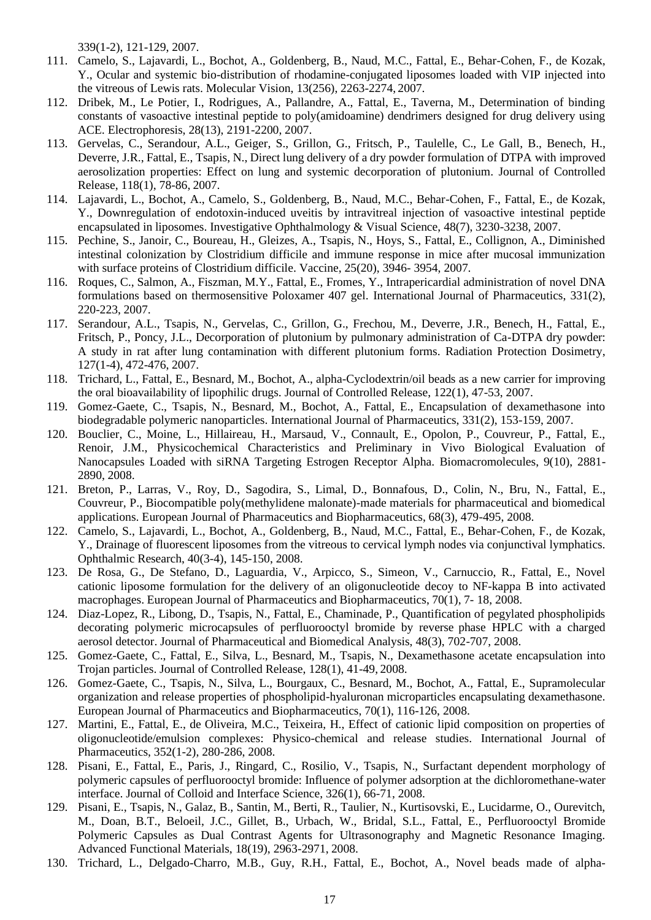339(1-2), 121-129, 2007.

- 111. Camelo, S., Lajavardi, L., Bochot, A., Goldenberg, B., Naud, M.C., Fattal, E., Behar-Cohen, F., de Kozak, Y., Ocular and systemic bio-distribution of rhodamine-conjugated liposomes loaded with VIP injected into the vitreous of Lewis rats. Molecular Vision, 13(256), 2263-2274, 2007.
- 112. Dribek, M., Le Potier, I., Rodrigues, A., Pallandre, A., Fattal, E., Taverna, M., Determination of binding constants of vasoactive intestinal peptide to poly(amidoamine) dendrimers designed for drug delivery using ACE. Electrophoresis, 28(13), 2191-2200, 2007.
- 113. Gervelas, C., Serandour, A.L., Geiger, S., Grillon, G., Fritsch, P., Taulelle, C., Le Gall, B., Benech, H., Deverre, J.R., Fattal, E., Tsapis, N., Direct lung delivery of a dry powder formulation of DTPA with improved aerosolization properties: Effect on lung and systemic decorporation of plutonium. Journal of Controlled Release, 118(1), 78-86, 2007.
- 114. Lajavardi, L., Bochot, A., Camelo, S., Goldenberg, B., Naud, M.C., Behar-Cohen, F., Fattal, E., de Kozak, Y., Downregulation of endotoxin-induced uveitis by intravitreal injection of vasoactive intestinal peptide encapsulated in liposomes. Investigative Ophthalmology & Visual Science, 48(7), 3230-3238, 2007.
- 115. Pechine, S., Janoir, C., Boureau, H., Gleizes, A., Tsapis, N., Hoys, S., Fattal, E., Collignon, A., Diminished intestinal colonization by Clostridium difficile and immune response in mice after mucosal immunization with surface proteins of Clostridium difficile. Vaccine, 25(20), 3946- 3954, 2007.
- 116. Roques, C., Salmon, A., Fiszman, M.Y., Fattal, E., Fromes, Y., Intrapericardial administration of novel DNA formulations based on thermosensitive Poloxamer 407 gel. International Journal of Pharmaceutics, 331(2), 220-223, 2007.
- 117. Serandour, A.L., Tsapis, N., Gervelas, C., Grillon, G., Frechou, M., Deverre, J.R., Benech, H., Fattal, E., Fritsch, P., Poncy, J.L., Decorporation of plutonium by pulmonary administration of Ca-DTPA dry powder: A study in rat after lung contamination with different plutonium forms. Radiation Protection Dosimetry, 127(1-4), 472-476, 2007.
- 118. Trichard, L., Fattal, E., Besnard, M., Bochot, A., alpha-Cyclodextrin/oil beads as a new carrier for improving the oral bioavailability of lipophilic drugs. Journal of Controlled Release, 122(1), 47-53, 2007.
- 119. Gomez-Gaete, C., Tsapis, N., Besnard, M., Bochot, A., Fattal, E., Encapsulation of dexamethasone into biodegradable polymeric nanoparticles. International Journal of Pharmaceutics, 331(2), 153-159, 2007.
- 120. Bouclier, C., Moine, L., Hillaireau, H., Marsaud, V., Connault, E., Opolon, P., Couvreur, P., Fattal, E., Renoir, J.M., Physicochemical Characteristics and Preliminary in Vivo Biological Evaluation of Nanocapsules Loaded with siRNA Targeting Estrogen Receptor Alpha. Biomacromolecules, 9(10), 2881- 2890, 2008.
- 121. Breton, P., Larras, V., Roy, D., Sagodira, S., Limal, D., Bonnafous, D., Colin, N., Bru, N., Fattal, E., Couvreur, P., Biocompatible poly(methylidene malonate)-made materials for pharmaceutical and biomedical applications. European Journal of Pharmaceutics and Biopharmaceutics, 68(3), 479-495, 2008.
- 122. Camelo, S., Lajavardi, L., Bochot, A., Goldenberg, B., Naud, M.C., Fattal, E., Behar-Cohen, F., de Kozak, Y., Drainage of fluorescent liposomes from the vitreous to cervical lymph nodes via conjunctival lymphatics. Ophthalmic Research, 40(3-4), 145-150, 2008.
- 123. De Rosa, G., De Stefano, D., Laguardia, V., Arpicco, S., Simeon, V., Carnuccio, R., Fattal, E., Novel cationic liposome formulation for the delivery of an oligonucleotide decoy to NF-kappa B into activated macrophages. European Journal of Pharmaceutics and Biopharmaceutics, 70(1), 7- 18, 2008.
- 124. Diaz-Lopez, R., Libong, D., Tsapis, N., Fattal, E., Chaminade, P., Quantification of pegylated phospholipids decorating polymeric microcapsules of perfluorooctyl bromide by reverse phase HPLC with a charged aerosol detector. Journal of Pharmaceutical and Biomedical Analysis, 48(3), 702-707, 2008.
- 125. Gomez-Gaete, C., Fattal, E., Silva, L., Besnard, M., Tsapis, N., Dexamethasone acetate encapsulation into Trojan particles. Journal of Controlled Release, 128(1), 41-49, 2008.
- 126. Gomez-Gaete, C., Tsapis, N., Silva, L., Bourgaux, C., Besnard, M., Bochot, A., Fattal, E., Supramolecular organization and release properties of phospholipid-hyaluronan microparticles encapsulating dexamethasone. European Journal of Pharmaceutics and Biopharmaceutics, 70(1), 116-126, 2008.
- 127. Martini, E., Fattal, E., de Oliveira, M.C., Teixeira, H., Effect of cationic lipid composition on properties of oligonucleotide/emulsion complexes: Physico-chemical and release studies. International Journal of Pharmaceutics, 352(1-2), 280-286, 2008.
- 128. Pisani, E., Fattal, E., Paris, J., Ringard, C., Rosilio, V., Tsapis, N., Surfactant dependent morphology of polymeric capsules of perfluorooctyl bromide: Influence of polymer adsorption at the dichloromethane-water interface. Journal of Colloid and Interface Science, 326(1), 66-71, 2008.
- 129. Pisani, E., Tsapis, N., Galaz, B., Santin, M., Berti, R., Taulier, N., Kurtisovski, E., Lucidarme, O., Ourevitch, M., Doan, B.T., Beloeil, J.C., Gillet, B., Urbach, W., Bridal, S.L., Fattal, E., Perfluorooctyl Bromide Polymeric Capsules as Dual Contrast Agents for Ultrasonography and Magnetic Resonance Imaging. Advanced Functional Materials, 18(19), 2963-2971, 2008.
- 130. Trichard, L., Delgado-Charro, M.B., Guy, R.H., Fattal, E., Bochot, A., Novel beads made of alpha-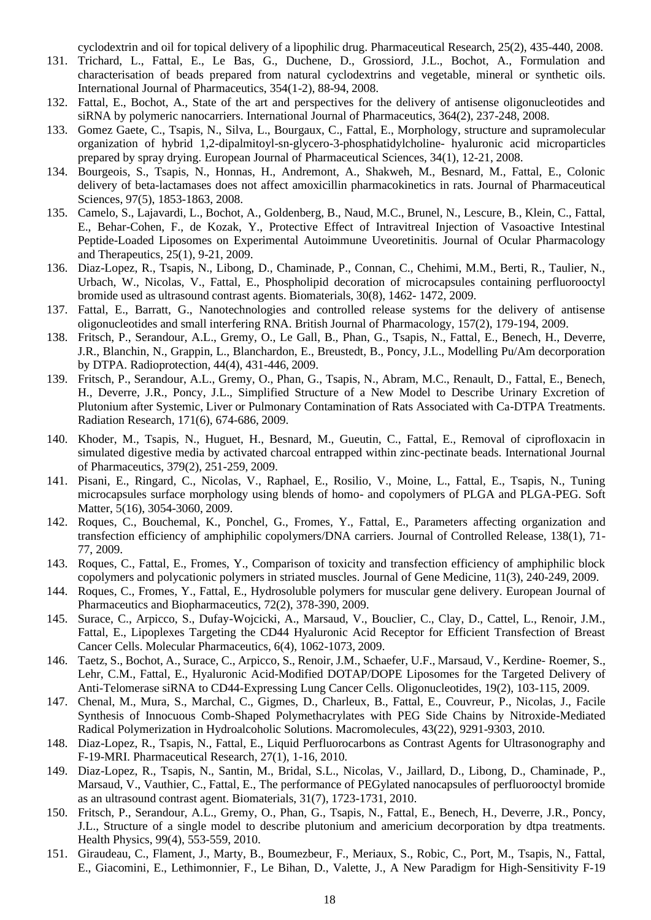cyclodextrin and oil for topical delivery of a lipophilic drug. Pharmaceutical Research, 25(2), 435-440, 2008.

- 131. Trichard, L., Fattal, E., Le Bas, G., Duchene, D., Grossiord, J.L., Bochot, A., Formulation and characterisation of beads prepared from natural cyclodextrins and vegetable, mineral or synthetic oils. International Journal of Pharmaceutics, 354(1-2), 88-94, 2008.
- 132. Fattal, E., Bochot, A., State of the art and perspectives for the delivery of antisense oligonucleotides and siRNA by polymeric nanocarriers. International Journal of Pharmaceutics, 364(2), 237-248, 2008.
- 133. Gomez Gaete, C., Tsapis, N., Silva, L., Bourgaux, C., Fattal, E., Morphology, structure and supramolecular organization of hybrid 1,2-dipalmitoyl-sn-glycero-3-phosphatidylcholine- hyaluronic acid microparticles prepared by spray drying. European Journal of Pharmaceutical Sciences, 34(1), 12-21, 2008.
- 134. Bourgeois, S., Tsapis, N., Honnas, H., Andremont, A., Shakweh, M., Besnard, M., Fattal, E., Colonic delivery of beta-lactamases does not affect amoxicillin pharmacokinetics in rats. Journal of Pharmaceutical Sciences, 97(5), 1853-1863, 2008.
- 135. Camelo, S., Lajavardi, L., Bochot, A., Goldenberg, B., Naud, M.C., Brunel, N., Lescure, B., Klein, C., Fattal, E., Behar-Cohen, F., de Kozak, Y., Protective Effect of Intravitreal Injection of Vasoactive Intestinal Peptide-Loaded Liposomes on Experimental Autoimmune Uveoretinitis. Journal of Ocular Pharmacology and Therapeutics, 25(1), 9-21, 2009.
- 136. Diaz-Lopez, R., Tsapis, N., Libong, D., Chaminade, P., Connan, C., Chehimi, M.M., Berti, R., Taulier, N., Urbach, W., Nicolas, V., Fattal, E., Phospholipid decoration of microcapsules containing perfluorooctyl bromide used as ultrasound contrast agents. Biomaterials, 30(8), 1462- 1472, 2009.
- 137. Fattal, E., Barratt, G., Nanotechnologies and controlled release systems for the delivery of antisense oligonucleotides and small interfering RNA. British Journal of Pharmacology, 157(2), 179-194, 2009.
- 138. Fritsch, P., Serandour, A.L., Gremy, O., Le Gall, B., Phan, G., Tsapis, N., Fattal, E., Benech, H., Deverre, J.R., Blanchin, N., Grappin, L., Blanchardon, E., Breustedt, B., Poncy, J.L., Modelling Pu/Am decorporation by DTPA. Radioprotection, 44(4), 431-446, 2009.
- 139. Fritsch, P., Serandour, A.L., Gremy, O., Phan, G., Tsapis, N., Abram, M.C., Renault, D., Fattal, E., Benech, H., Deverre, J.R., Poncy, J.L., Simplified Structure of a New Model to Describe Urinary Excretion of Plutonium after Systemic, Liver or Pulmonary Contamination of Rats Associated with Ca-DTPA Treatments. Radiation Research, 171(6), 674-686, 2009.
- 140. Khoder, M., Tsapis, N., Huguet, H., Besnard, M., Gueutin, C., Fattal, E., Removal of ciprofloxacin in simulated digestive media by activated charcoal entrapped within zinc-pectinate beads. International Journal of Pharmaceutics, 379(2), 251-259, 2009.
- 141. Pisani, E., Ringard, C., Nicolas, V., Raphael, E., Rosilio, V., Moine, L., Fattal, E., Tsapis, N., Tuning microcapsules surface morphology using blends of homo- and copolymers of PLGA and PLGA-PEG. Soft Matter, 5(16), 3054-3060, 2009.
- 142. Roques, C., Bouchemal, K., Ponchel, G., Fromes, Y., Fattal, E., Parameters affecting organization and transfection efficiency of amphiphilic copolymers/DNA carriers. Journal of Controlled Release, 138(1), 71- 77, 2009.
- 143. Roques, C., Fattal, E., Fromes, Y., Comparison of toxicity and transfection efficiency of amphiphilic block copolymers and polycationic polymers in striated muscles. Journal of Gene Medicine, 11(3), 240-249, 2009.
- 144. Roques, C., Fromes, Y., Fattal, E., Hydrosoluble polymers for muscular gene delivery. European Journal of Pharmaceutics and Biopharmaceutics, 72(2), 378-390, 2009.
- 145. Surace, C., Arpicco, S., Dufay-Wojcicki, A., Marsaud, V., Bouclier, C., Clay, D., Cattel, L., Renoir, J.M., Fattal, E., Lipoplexes Targeting the CD44 Hyaluronic Acid Receptor for Efficient Transfection of Breast Cancer Cells. Molecular Pharmaceutics, 6(4), 1062-1073, 2009.
- 146. Taetz, S., Bochot, A., Surace, C., Arpicco, S., Renoir, J.M., Schaefer, U.F., Marsaud, V., Kerdine- Roemer, S., Lehr, C.M., Fattal, E., Hyaluronic Acid-Modified DOTAP/DOPE Liposomes for the Targeted Delivery of Anti-Telomerase siRNA to CD44-Expressing Lung Cancer Cells. Oligonucleotides, 19(2), 103-115, 2009.
- 147. Chenal, M., Mura, S., Marchal, C., Gigmes, D., Charleux, B., Fattal, E., Couvreur, P., Nicolas, J., Facile Synthesis of Innocuous Comb-Shaped Polymethacrylates with PEG Side Chains by Nitroxide-Mediated Radical Polymerization in Hydroalcoholic Solutions. Macromolecules, 43(22), 9291-9303, 2010.
- 148. Diaz-Lopez, R., Tsapis, N., Fattal, E., Liquid Perfluorocarbons as Contrast Agents for Ultrasonography and F-19-MRI. Pharmaceutical Research, 27(1), 1-16, 2010.
- 149. Diaz-Lopez, R., Tsapis, N., Santin, M., Bridal, S.L., Nicolas, V., Jaillard, D., Libong, D., Chaminade, P., Marsaud, V., Vauthier, C., Fattal, E., The performance of PEGylated nanocapsules of perfluorooctyl bromide as an ultrasound contrast agent. Biomaterials, 31(7), 1723-1731, 2010.
- 150. Fritsch, P., Serandour, A.L., Gremy, O., Phan, G., Tsapis, N., Fattal, E., Benech, H., Deverre, J.R., Poncy, J.L., Structure of a single model to describe plutonium and americium decorporation by dtpa treatments. Health Physics, 99(4), 553-559, 2010.
- 151. Giraudeau, C., Flament, J., Marty, B., Boumezbeur, F., Meriaux, S., Robic, C., Port, M., Tsapis, N., Fattal, E., Giacomini, E., Lethimonnier, F., Le Bihan, D., Valette, J., A New Paradigm for High-Sensitivity F-19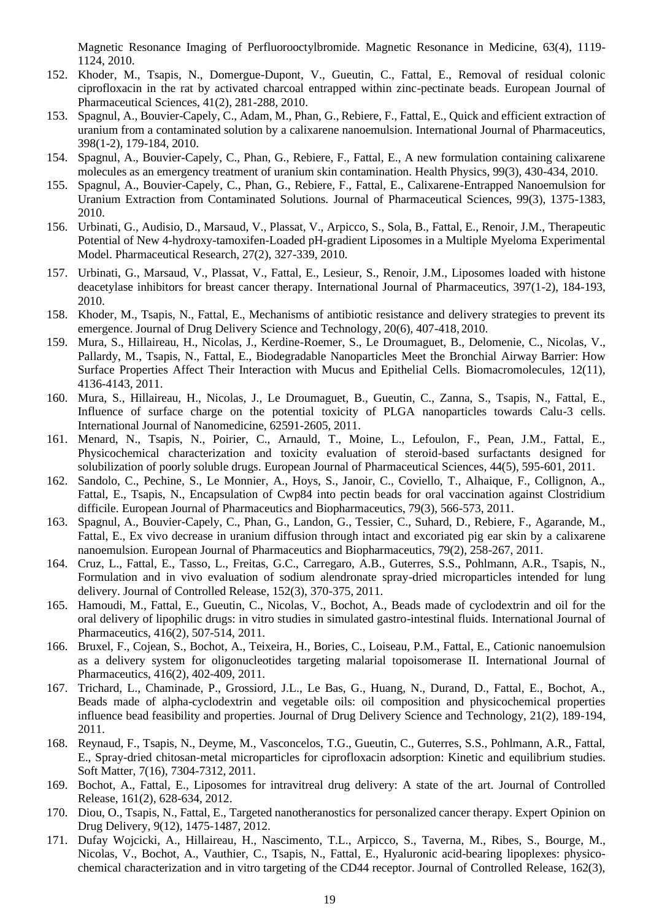Magnetic Resonance Imaging of Perfluorooctylbromide. Magnetic Resonance in Medicine, 63(4), 1119- 1124, 2010.

- 152. Khoder, M., Tsapis, N., Domergue-Dupont, V., Gueutin, C., Fattal, E., Removal of residual colonic ciprofloxacin in the rat by activated charcoal entrapped within zinc-pectinate beads. European Journal of Pharmaceutical Sciences, 41(2), 281-288, 2010.
- 153. Spagnul, A., Bouvier-Capely, C., Adam, M., Phan, G., Rebiere, F., Fattal, E., Quick and efficient extraction of uranium from a contaminated solution by a calixarene nanoemulsion. International Journal of Pharmaceutics, 398(1-2), 179-184, 2010.
- 154. Spagnul, A., Bouvier-Capely, C., Phan, G., Rebiere, F., Fattal, E., A new formulation containing calixarene molecules as an emergency treatment of uranium skin contamination. Health Physics, 99(3), 430-434, 2010.
- 155. Spagnul, A., Bouvier-Capely, C., Phan, G., Rebiere, F., Fattal, E., Calixarene-Entrapped Nanoemulsion for Uranium Extraction from Contaminated Solutions. Journal of Pharmaceutical Sciences, 99(3), 1375-1383, 2010.
- 156. Urbinati, G., Audisio, D., Marsaud, V., Plassat, V., Arpicco, S., Sola, B., Fattal, E., Renoir, J.M., Therapeutic Potential of New 4-hydroxy-tamoxifen-Loaded pH-gradient Liposomes in a Multiple Myeloma Experimental Model. Pharmaceutical Research, 27(2), 327-339, 2010.
- 157. Urbinati, G., Marsaud, V., Plassat, V., Fattal, E., Lesieur, S., Renoir, J.M., Liposomes loaded with histone deacetylase inhibitors for breast cancer therapy. International Journal of Pharmaceutics, 397(1-2), 184-193, 2010.
- 158. Khoder, M., Tsapis, N., Fattal, E., Mechanisms of antibiotic resistance and delivery strategies to prevent its emergence. Journal of Drug Delivery Science and Technology, 20(6), 407-418, 2010.
- 159. Mura, S., Hillaireau, H., Nicolas, J., Kerdine-Roemer, S., Le Droumaguet, B., Delomenie, C., Nicolas, V., Pallardy, M., Tsapis, N., Fattal, E., Biodegradable Nanoparticles Meet the Bronchial Airway Barrier: How Surface Properties Affect Their Interaction with Mucus and Epithelial Cells. Biomacromolecules, 12(11), 4136-4143, 2011.
- 160. Mura, S., Hillaireau, H., Nicolas, J., Le Droumaguet, B., Gueutin, C., Zanna, S., Tsapis, N., Fattal, E., Influence of surface charge on the potential toxicity of PLGA nanoparticles towards Calu-3 cells. International Journal of Nanomedicine, 62591-2605, 2011.
- 161. Menard, N., Tsapis, N., Poirier, C., Arnauld, T., Moine, L., Lefoulon, F., Pean, J.M., Fattal, E., Physicochemical characterization and toxicity evaluation of steroid-based surfactants designed for solubilization of poorly soluble drugs. European Journal of Pharmaceutical Sciences, 44(5), 595-601, 2011.
- 162. Sandolo, C., Pechine, S., Le Monnier, A., Hoys, S., Janoir, C., Coviello, T., Alhaique, F., Collignon, A., Fattal, E., Tsapis, N., Encapsulation of Cwp84 into pectin beads for oral vaccination against Clostridium difficile. European Journal of Pharmaceutics and Biopharmaceutics, 79(3), 566-573, 2011.
- 163. Spagnul, A., Bouvier-Capely, C., Phan, G., Landon, G., Tessier, C., Suhard, D., Rebiere, F., Agarande, M., Fattal, E., Ex vivo decrease in uranium diffusion through intact and excoriated pig ear skin by a calixarene nanoemulsion. European Journal of Pharmaceutics and Biopharmaceutics, 79(2), 258-267, 2011.
- 164. Cruz, L., Fattal, E., Tasso, L., Freitas, G.C., Carregaro, A.B., Guterres, S.S., Pohlmann, A.R., Tsapis, N., Formulation and in vivo evaluation of sodium alendronate spray-dried microparticles intended for lung delivery. Journal of Controlled Release, 152(3), 370-375, 2011.
- 165. Hamoudi, M., Fattal, E., Gueutin, C., Nicolas, V., Bochot, A., Beads made of cyclodextrin and oil for the oral delivery of lipophilic drugs: in vitro studies in simulated gastro-intestinal fluids. International Journal of Pharmaceutics, 416(2), 507-514, 2011.
- 166. Bruxel, F., Cojean, S., Bochot, A., Teixeira, H., Bories, C., Loiseau, P.M., Fattal, E., Cationic nanoemulsion as a delivery system for oligonucleotides targeting malarial topoisomerase II. International Journal of Pharmaceutics, 416(2), 402-409, 2011.
- 167. Trichard, L., Chaminade, P., Grossiord, J.L., Le Bas, G., Huang, N., Durand, D., Fattal, E., Bochot, A., Beads made of alpha-cyclodextrin and vegetable oils: oil composition and physicochemical properties influence bead feasibility and properties. Journal of Drug Delivery Science and Technology, 21(2), 189-194, 2011.
- 168. Reynaud, F., Tsapis, N., Deyme, M., Vasconcelos, T.G., Gueutin, C., Guterres, S.S., Pohlmann, A.R., Fattal, E., Spray-dried chitosan-metal microparticles for ciprofloxacin adsorption: Kinetic and equilibrium studies. Soft Matter, 7(16), 7304-7312, 2011.
- 169. Bochot, A., Fattal, E., Liposomes for intravitreal drug delivery: A state of the art. Journal of Controlled Release, 161(2), 628-634, 2012.
- 170. Diou, O., Tsapis, N., Fattal, E., Targeted nanotheranostics for personalized cancer therapy. Expert Opinion on Drug Delivery, 9(12), 1475-1487, 2012.
- 171. Dufay Wojcicki, A., Hillaireau, H., Nascimento, T.L., Arpicco, S., Taverna, M., Ribes, S., Bourge, M., Nicolas, V., Bochot, A., Vauthier, C., Tsapis, N., Fattal, E., Hyaluronic acid-bearing lipoplexes: physicochemical characterization and in vitro targeting of the CD44 receptor. Journal of Controlled Release, 162(3),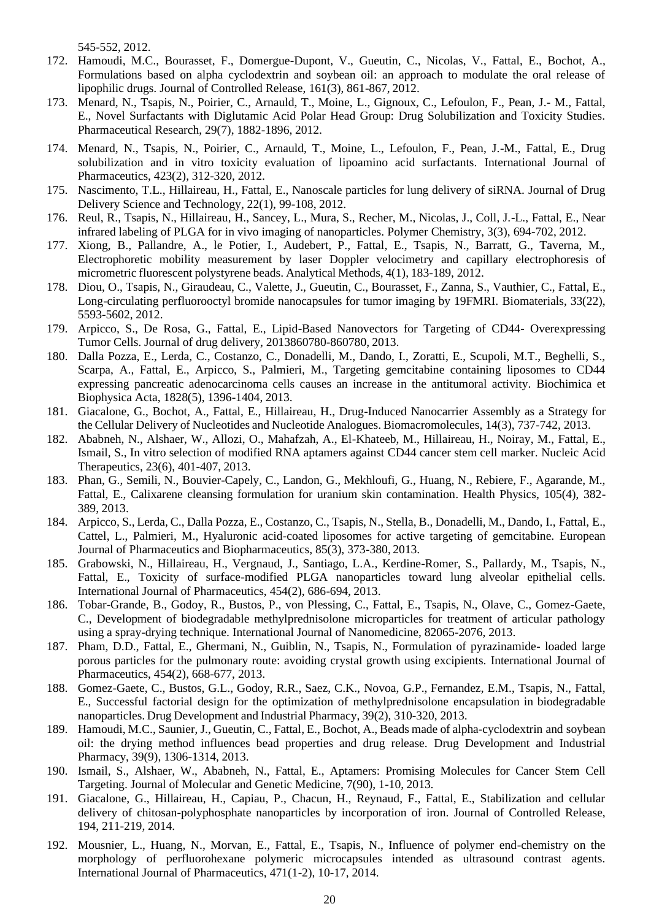545-552, 2012.

- 172. Hamoudi, M.C., Bourasset, F., Domergue-Dupont, V., Gueutin, C., Nicolas, V., Fattal, E., Bochot, A., Formulations based on alpha cyclodextrin and soybean oil: an approach to modulate the oral release of lipophilic drugs. Journal of Controlled Release, 161(3), 861-867, 2012.
- 173. Menard, N., Tsapis, N., Poirier, C., Arnauld, T., Moine, L., Gignoux, C., Lefoulon, F., Pean, J.- M., Fattal, E., Novel Surfactants with Diglutamic Acid Polar Head Group: Drug Solubilization and Toxicity Studies. Pharmaceutical Research, 29(7), 1882-1896, 2012.
- 174. Menard, N., Tsapis, N., Poirier, C., Arnauld, T., Moine, L., Lefoulon, F., Pean, J.-M., Fattal, E., Drug solubilization and in vitro toxicity evaluation of lipoamino acid surfactants. International Journal of Pharmaceutics, 423(2), 312-320, 2012.
- 175. Nascimento, T.L., Hillaireau, H., Fattal, E., Nanoscale particles for lung delivery of siRNA. Journal of Drug Delivery Science and Technology, 22(1), 99-108, 2012.
- 176. Reul, R., Tsapis, N., Hillaireau, H., Sancey, L., Mura, S., Recher, M., Nicolas, J., Coll, J.-L., Fattal, E., Near infrared labeling of PLGA for in vivo imaging of nanoparticles. Polymer Chemistry, 3(3), 694-702, 2012.
- 177. Xiong, B., Pallandre, A., le Potier, I., Audebert, P., Fattal, E., Tsapis, N., Barratt, G., Taverna, M., Electrophoretic mobility measurement by laser Doppler velocimetry and capillary electrophoresis of micrometric fluorescent polystyrene beads. Analytical Methods, 4(1), 183-189, 2012.
- 178. Diou, O., Tsapis, N., Giraudeau, C., Valette, J., Gueutin, C., Bourasset, F., Zanna, S., Vauthier, C., Fattal, E., Long-circulating perfluorooctyl bromide nanocapsules for tumor imaging by 19FMRI. Biomaterials, 33(22), 5593-5602, 2012.
- 179. Arpicco, S., De Rosa, G., Fattal, E., Lipid-Based Nanovectors for Targeting of CD44- Overexpressing Tumor Cells. Journal of drug delivery, 2013860780-860780, 2013.
- 180. Dalla Pozza, E., Lerda, C., Costanzo, C., Donadelli, M., Dando, I., Zoratti, E., Scupoli, M.T., Beghelli, S., Scarpa, A., Fattal, E., Arpicco, S., Palmieri, M., Targeting gemcitabine containing liposomes to CD44 expressing pancreatic adenocarcinoma cells causes an increase in the antitumoral activity. Biochimica et Biophysica Acta, 1828(5), 1396-1404, 2013.
- 181. Giacalone, G., Bochot, A., Fattal, E., Hillaireau, H., Drug-Induced Nanocarrier Assembly as a Strategy for the Cellular Delivery of Nucleotides and Nucleotide Analogues. Biomacromolecules, 14(3), 737-742, 2013.
- 182. Ababneh, N., Alshaer, W., Allozi, O., Mahafzah, A., El-Khateeb, M., Hillaireau, H., Noiray, M., Fattal, E., Ismail, S., In vitro selection of modified RNA aptamers against CD44 cancer stem cell marker. Nucleic Acid Therapeutics, 23(6), 401-407, 2013.
- 183. Phan, G., Semili, N., Bouvier-Capely, C., Landon, G., Mekhloufi, G., Huang, N., Rebiere, F., Agarande, M., Fattal, E., Calixarene cleansing formulation for uranium skin contamination. Health Physics, 105(4), 382- 389, 2013.
- 184. Arpicco, S., Lerda, C., Dalla Pozza, E., Costanzo, C., Tsapis, N., Stella, B., Donadelli, M., Dando, I., Fattal, E., Cattel, L., Palmieri, M., Hyaluronic acid-coated liposomes for active targeting of gemcitabine. European Journal of Pharmaceutics and Biopharmaceutics, 85(3), 373-380, 2013.
- 185. Grabowski, N., Hillaireau, H., Vergnaud, J., Santiago, L.A., Kerdine-Romer, S., Pallardy, M., Tsapis, N., Fattal, E., Toxicity of surface-modified PLGA nanoparticles toward lung alveolar epithelial cells. International Journal of Pharmaceutics, 454(2), 686-694, 2013.
- 186. Tobar-Grande, B., Godoy, R., Bustos, P., von Plessing, C., Fattal, E., Tsapis, N., Olave, C., Gomez-Gaete, C., Development of biodegradable methylprednisolone microparticles for treatment of articular pathology using a spray-drying technique. International Journal of Nanomedicine, 82065-2076, 2013.
- 187. Pham, D.D., Fattal, E., Ghermani, N., Guiblin, N., Tsapis, N., Formulation of pyrazinamide- loaded large porous particles for the pulmonary route: avoiding crystal growth using excipients. International Journal of Pharmaceutics, 454(2), 668-677, 2013.
- 188. Gomez-Gaete, C., Bustos, G.L., Godoy, R.R., Saez, C.K., Novoa, G.P., Fernandez, E.M., Tsapis, N., Fattal, E., Successful factorial design for the optimization of methylprednisolone encapsulation in biodegradable nanoparticles. Drug Development and Industrial Pharmacy, 39(2), 310-320, 2013.
- 189. Hamoudi, M.C., Saunier, J., Gueutin, C., Fattal, E., Bochot, A., Beads made of alpha-cyclodextrin and soybean oil: the drying method influences bead properties and drug release. Drug Development and Industrial Pharmacy, 39(9), 1306-1314, 2013.
- 190. Ismail, S., Alshaer, W., Ababneh, N., Fattal, E., Aptamers: Promising Molecules for Cancer Stem Cell Targeting. Journal of Molecular and Genetic Medicine, 7(90), 1-10, 2013.
- 191. Giacalone, G., Hillaireau, H., Capiau, P., Chacun, H., Reynaud, F., Fattal, E., Stabilization and cellular delivery of chitosan-polyphosphate nanoparticles by incorporation of iron. Journal of Controlled Release, 194, 211-219, 2014.
- 192. Mousnier, L., Huang, N., Morvan, E., Fattal, E., Tsapis, N., Influence of polymer end-chemistry on the morphology of perfluorohexane polymeric microcapsules intended as ultrasound contrast agents. International Journal of Pharmaceutics, 471(1-2), 10-17, 2014.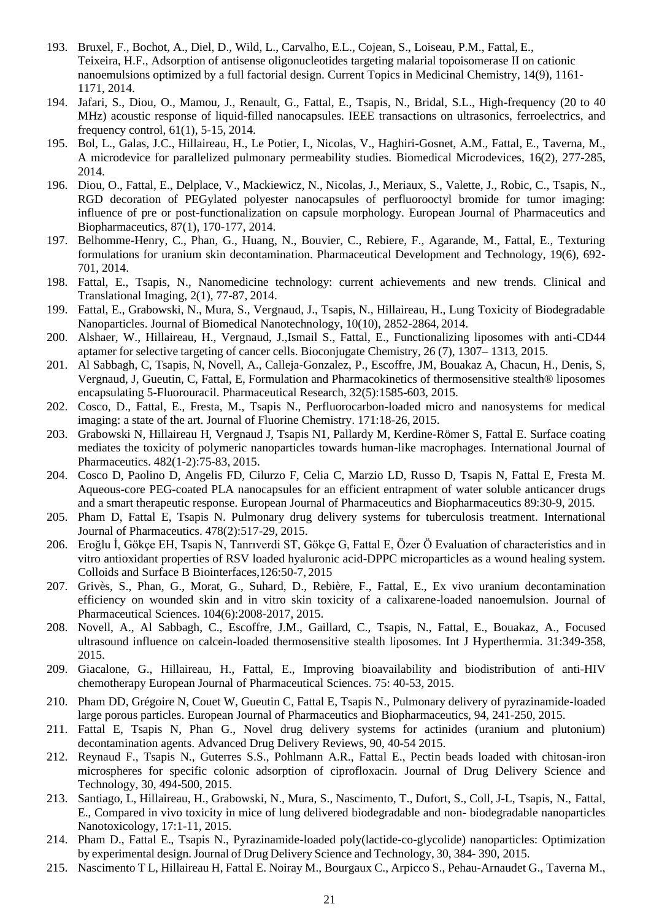- 193. Bruxel, F., Bochot, A., Diel, D., Wild, L., Carvalho, E.L., Cojean, S., Loiseau, P.M., Fattal, E., Teixeira, H.F., Adsorption of antisense oligonucleotides targeting malarial topoisomerase II on cationic nanoemulsions optimized by a full factorial design. Current Topics in Medicinal Chemistry, 14(9), 1161- 1171, 2014.
- 194. Jafari, S., Diou, O., Mamou, J., Renault, G., Fattal, E., Tsapis, N., Bridal, S.L., High-frequency (20 to 40 MHz) acoustic response of liquid-filled nanocapsules. IEEE transactions on ultrasonics, ferroelectrics, and frequency control, 61(1), 5-15, 2014.
- 195. Bol, L., Galas, J.C., Hillaireau, H., Le Potier, I., Nicolas, V., Haghiri-Gosnet, A.M., Fattal, E., Taverna, M., A microdevice for parallelized pulmonary permeability studies. Biomedical Microdevices, 16(2), 277-285, 2014.
- 196. Diou, O., Fattal, E., Delplace, V., Mackiewicz, N., Nicolas, J., Meriaux, S., Valette, J., Robic, C., Tsapis, N., RGD decoration of PEGylated polyester nanocapsules of perfluorooctyl bromide for tumor imaging: influence of pre or post-functionalization on capsule morphology. European Journal of Pharmaceutics and Biopharmaceutics, 87(1), 170-177, 2014.
- 197. Belhomme-Henry, C., Phan, G., Huang, N., Bouvier, C., Rebiere, F., Agarande, M., Fattal, E., Texturing formulations for uranium skin decontamination. Pharmaceutical Development and Technology, 19(6), 692- 701, 2014.
- 198. Fattal, E., Tsapis, N., Nanomedicine technology: current achievements and new trends. Clinical and Translational Imaging, 2(1), 77-87, 2014.
- 199. Fattal, E., Grabowski, N., Mura, S., Vergnaud, J., Tsapis, N., Hillaireau, H., Lung Toxicity of Biodegradable Nanoparticles. Journal of Biomedical Nanotechnology, 10(10), 2852-2864, 2014.
- 200. Alshaer, W., Hillaireau, H., Vergnaud, J.,Ismail S., Fattal, E., Functionalizing liposomes with anti-CD44 aptamer for selective targeting of cancer cells. Bioconjugate Chemistry, 26 (7), 1307– 1313, 2015.
- 201. Al Sabbagh, C, Tsapis, N, Novell, A., Calleja-Gonzalez, P., Escoffre, JM, Bouakaz A, Chacun, H., Denis, S, Vergnaud, J, Gueutin, C, Fattal, E, Formulation and Pharmacokinetics of thermosensitive stealth® liposomes encapsulating 5-Fluorouracil. Pharmaceutical Research, 32(5):1585-603, 2015.
- 202. Cosco, D., Fattal, E., Fresta, M., Tsapis N., Perfluorocarbon-loaded micro and nanosystems for medical imaging: a state of the art. Journal of Fluorine Chemistry. 171:18-26, 2015.
- 203. Grabowski N, Hillaireau H, Vergnaud J, Tsapis N1, Pallardy M, Kerdine-Römer S, Fattal E. Surface coating mediates the toxicity of polymeric nanoparticles towards human-like macrophages. International Journal of Pharmaceutics. 482(1-2):75-83, 2015.
- 204. Cosco D, Paolino D, Angelis FD, Cilurzo F, Celia C, Marzio LD, Russo D, Tsapis N, Fattal E, Fresta M. Aqueous-core PEG-coated PLA nanocapsules for an efficient entrapment of water soluble anticancer drugs and a smart therapeutic response. European Journal of Pharmaceutics and Biopharmaceutics 89:30-9, 2015.
- 205. Pham D, Fattal E, Tsapis N. Pulmonary drug delivery systems for tuberculosis treatment. International Journal of Pharmaceutics. 478(2):517-29, 2015.
- 206. Eroğlu İ, Gökçe EH, Tsapis N, Tanrıverdi ST, Gökçe G, Fattal E, Özer Ö Evaluation of characteristics and in vitro antioxidant properties of RSV loaded hyaluronic acid-DPPC microparticles as a wound healing system. Colloids and Surface B Biointerfaces,126:50-7, 2015
- 207. Grivès, S., Phan, G., Morat, G., Suhard, D., Rebière, F., Fattal, E., Ex vivo uranium decontamination efficiency on wounded skin and in vitro skin toxicity of a calixarene-loaded nanoemulsion. Journal of Pharmaceutical Sciences. 104(6):2008-2017, 2015.
- 208. Novell, A., Al Sabbagh, C., Escoffre, J.M., Gaillard, C., Tsapis, N., Fattal, E., Bouakaz, A., Focused ultrasound influence on calcein-loaded thermosensitive stealth liposomes. Int J Hyperthermia. 31:349-358, 2015.
- 209. Giacalone, G., Hillaireau, H., Fattal, E., Improving bioavailability and biodistribution of anti-HIV chemotherapy European Journal of Pharmaceutical Sciences. 75: 40-53, 2015.
- 210. Pham DD, Grégoire N, Couet W, Gueutin C, Fattal E, Tsapis N., Pulmonary delivery of pyrazinamide-loaded large porous particles. European Journal of Pharmaceutics and Biopharmaceutics, 94, 241-250, 2015.
- 211. Fattal E, Tsapis N, Phan G., Novel drug delivery systems for actinides (uranium and plutonium) decontamination agents. Advanced Drug Delivery Reviews, 90, 40-54 2015.
- 212. Reynaud F., Tsapis N., Guterres S.S., Pohlmann A.R., Fattal E., Pectin beads loaded with chitosan-iron microspheres for specific colonic adsorption of ciprofloxacin. Journal of Drug Delivery Science and Technology, 30, 494-500, 2015.
- 213. Santiago, L, Hillaireau, H., Grabowski, N., Mura, S., Nascimento, T., Dufort, S., Coll, J-L, Tsapis, N., Fattal, E., Compared in vivo toxicity in mice of lung delivered biodegradable and non- biodegradable nanoparticles Nanotoxicology, 17:1-11, 2015.
- 214. Pham D., Fattal E., Tsapis N., Pyrazinamide-loaded poly(lactide-co-glycolide) nanoparticles: Optimization by experimental design.Journal of Drug Delivery Science and Technology, 30, 384- 390, 2015.
- 215. Nascimento T L, Hillaireau H, Fattal E. Noiray M., Bourgaux C., Arpicco S., Pehau-Arnaudet G., Taverna M.,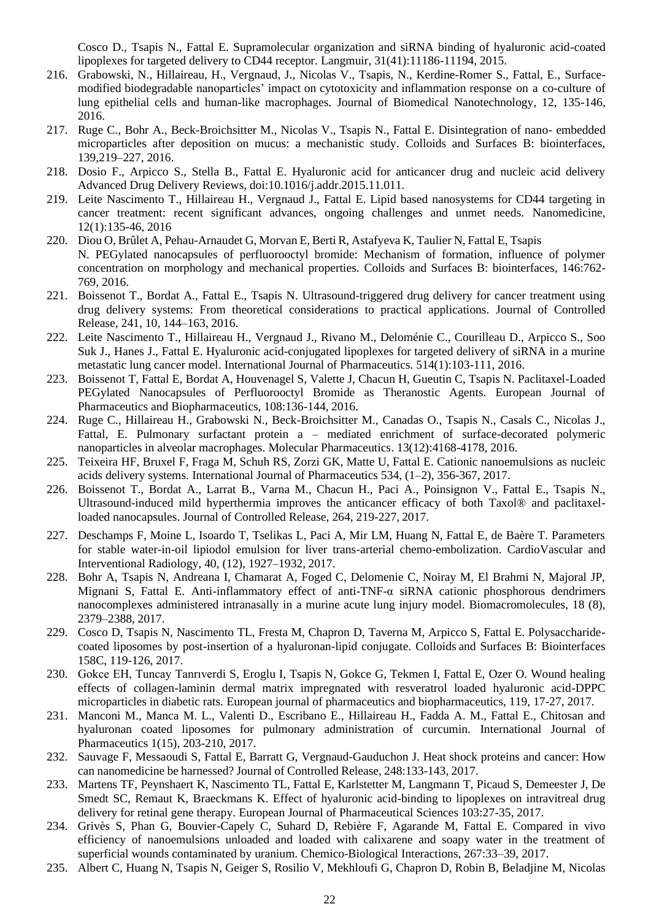Cosco D., Tsapis N., Fattal E. Supramolecular organization and siRNA binding of hyaluronic acid-coated lipoplexes for targeted delivery to CD44 receptor. Langmuir, 31(41):11186-11194, 2015.

- 216. Grabowski, N., Hillaireau, H., Vergnaud, J., Nicolas V., Tsapis, N., Kerdine-Romer S., Fattal, E., Surfacemodified biodegradable nanoparticles' impact on cytotoxicity and inflammation response on a co-culture of lung epithelial cells and human-like macrophages. Journal of Biomedical Nanotechnology, 12, 135-146, 2016.
- 217. Ruge C., Bohr A., Beck-Broichsitter M., Nicolas V., Tsapis N., Fattal E. Disintegration of nano- embedded microparticles after deposition on mucus: a mechanistic study. Colloids and Surfaces B: biointerfaces, 139,219–227, 2016.
- 218. Dosio F., Arpicco S., Stella B., Fattal E. Hyaluronic acid for anticancer drug and nucleic acid delivery Advanced Drug Delivery Reviews, doi:10.1016/j.addr.2015.11.011.
- 219. Leite Nascimento T., Hillaireau H., Vergnaud J., Fattal E. Lipid based nanosystems for CD44 targeting in cancer treatment: recent significant advances, ongoing challenges and unmet needs. Nanomedicine, 12(1):135-46, 2016
- 220. Diou O, Brûlet A, Pehau-Arnaudet G, Morvan E, Berti R, Astafyeva K, Taulier N, Fattal E, Tsapis N. PEGylated nanocapsules of perfluorooctyl bromide: Mechanism of formation, influence of polymer concentration on morphology and mechanical properties. Colloids and Surfaces B: biointerfaces, 146:762- 769, 2016.
- 221. Boissenot T., Bordat A., Fattal E., Tsapis N. Ultrasound-triggered drug delivery for cancer treatment using drug delivery systems: From theoretical considerations to practical applications. Journal of Controlled Release, 241, 10, 144–163, 2016.
- 222. Leite Nascimento T., Hillaireau H., Vergnaud J., Rivano M., Deloménie C., Courilleau D., Arpicco S., Soo Suk J., Hanes J., Fattal E. Hyaluronic acid-conjugated lipoplexes for targeted delivery of siRNA in a murine metastatic lung cancer model. International Journal of Pharmaceutics. 514(1):103-111, 2016.
- 223. Boissenot T, Fattal E, Bordat A, Houvenagel S, Valette J, Chacun H, Gueutin C, Tsapis N. Paclitaxel-Loaded PEGylated Nanocapsules of Perfluorooctyl Bromide as Theranostic Agents. European Journal of Pharmaceutics and Biopharmaceutics, 108:136-144, 2016.
- 224. Ruge C., Hillaireau H., Grabowski N., Beck-Broichsitter M., Canadas O., Tsapis N., Casals C., Nicolas J., Fattal, E. Pulmonary surfactant protein a – mediated enrichment of surface-decorated polymeric nanoparticles in alveolar macrophages. Molecular Pharmaceutics. 13(12):4168-4178, 2016.
- 225. Teixeira HF, Bruxel F, Fraga M, Schuh RS, Zorzi GK, Matte U, Fattal E. Cationic nanoemulsions as nucleic acids delivery systems. International Journal of Pharmaceutics 534, (1–2), 356-367, 2017.
- 226. Boissenot T., Bordat A., Larrat B., Varna M., Chacun H., Paci A., Poinsignon V., Fattal E., Tsapis N., Ultrasound-induced mild hyperthermia improves the anticancer efficacy of both Taxol® and paclitaxelloaded nanocapsules. Journal of Controlled Release, 264, 219-227, 2017.
- 227. Deschamps F, Moine L, Isoardo T, Tselikas L, Paci A, Mir LM, Huang N, Fattal E, de Baère T. Parameters for stable water-in-oil lipiodol emulsion for liver trans-arterial chemo-embolization. CardioVascular and Interventional Radiology, 40, (12), 1927–1932, 2017.
- 228. Bohr A, Tsapis N, Andreana I, Chamarat A, Foged C, Delomenie C, Noiray M, El Brahmi N, Majoral JP, Mignani S, Fattal E. Anti-inflammatory effect of anti-TNF-α siRNA cationic phosphorous dendrimers nanocomplexes administered intranasally in a murine acute lung injury model. Biomacromolecules, 18 (8), 2379–2388, 2017.
- 229. Cosco D, Tsapis N, Nascimento TL, Fresta M, Chapron D, Taverna M, Arpicco S, Fattal E. Polysaccharidecoated liposomes by post-insertion of a hyaluronan-lipid conjugate. Colloids and Surfaces B: Biointerfaces 158C, 119-126, 2017.
- 230. Gokce EH, Tuncay Tanrıverdi S, Eroglu I, Tsapis N, Gokce G, Tekmen I, Fattal E, Ozer O. Wound healing effects of collagen-laminin dermal matrix impregnated with resveratrol loaded hyaluronic acid-DPPC microparticles in diabetic rats. European journal of pharmaceutics and biopharmaceutics, 119, 17-27, 2017.
- 231. Manconi M., Manca M. L., Valenti D., Escribano E., Hillaireau H., Fadda A. M., Fattal E., Chitosan and hyaluronan coated liposomes for pulmonary administration of curcumin. International Journal of Pharmaceutics 1(15), 203-210, 2017.
- 232. Sauvage F, Messaoudi S, Fattal E, Barratt G, Vergnaud-Gauduchon J. Heat shock proteins and cancer: How can nanomedicine be harnessed? Journal of Controlled Release, 248:133-143, 2017.
- 233. Martens TF, Peynshaert K, Nascimento TL, Fattal E, Karlstetter M, Langmann T, Picaud S, Demeester J, De Smedt SC, Remaut K, Braeckmans K. Effect of hyaluronic acid-binding to lipoplexes on intravitreal drug delivery for retinal gene therapy. European Journal of Pharmaceutical Sciences 103:27-35, 2017.
- 234. Grivès S, Phan G, Bouvier-Capely C, Suhard D, Rebière F, Agarande M, Fattal E. Compared in vivo efficiency of nanoemulsions unloaded and loaded with calixarene and soapy water in the treatment of superficial wounds contaminated by uranium. Chemico-Biological Interactions, 267:33–39, 2017.
- 235. Albert C, Huang N, Tsapis N, Geiger S, Rosilio V, Mekhloufi G, Chapron D, Robin B, Beladjine M, Nicolas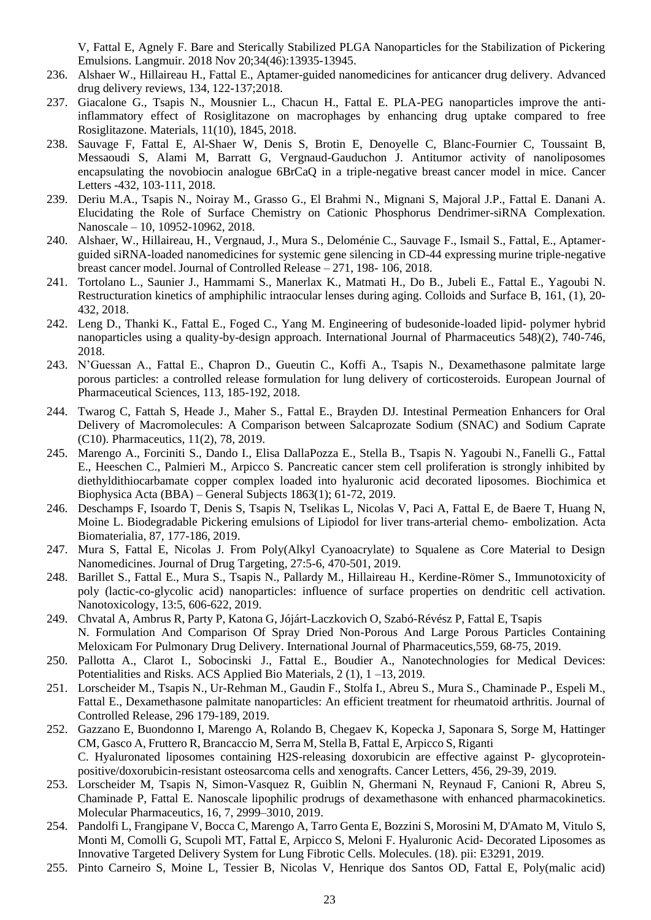V, Fattal E, Agnely F. Bare and Sterically Stabilized PLGA Nanoparticles for the Stabilization of Pickering Emulsions. Langmuir. 2018 Nov 20;34(46):13935-13945.

- 236. Alshaer W., Hillaireau H., Fattal E., Aptamer-guided nanomedicines for anticancer drug delivery. Advanced drug delivery reviews, 134, 122-137;2018.
- 237. Giacalone G., Tsapis N., Mousnier L., Chacun H., Fattal E. PLA-PEG nanoparticles improve the antiinflammatory effect of Rosiglitazone on macrophages by enhancing drug uptake compared to free Rosiglitazone. Materials, 11(10), 1845, 2018.
- 238. Sauvage F, Fattal E, Al-Shaer W, Denis S, Brotin E, Denoyelle C, Blanc-Fournier C, Toussaint B, Messaoudi S, Alami M, Barratt G, Vergnaud-Gauduchon J. Antitumor activity of nanoliposomes encapsulating the novobiocin analogue 6BrCaQ in a triple-negative breast cancer model in mice. Cancer Letters -432, 103-111, 2018.
- 239. Deriu M.A., Tsapis N., Noiray M., Grasso G., El Brahmi N., Mignani S, Majoral J.P., Fattal E. Danani A. Elucidating the Role of Surface Chemistry on Cationic Phosphorus Dendrimer-siRNA Complexation. Nanoscale – 10, 10952-10962, 2018.
- 240. Alshaer, W., Hillaireau, H., Vergnaud, J., Mura S., Deloménie C., Sauvage F., Ismail S., Fattal, E., Aptamerguided siRNA-loaded nanomedicines for systemic gene silencing in CD-44 expressing murine triple-negative breast cancer model. Journal of Controlled Release – 271, 198- 106, 2018.
- 241. Tortolano L., Saunier J., Hammami S., Manerlax K., Matmati H., Do B., Jubeli E., Fattal E., Yagoubi N. Restructuration kinetics of amphiphilic intraocular lenses during aging. Colloids and Surface B, 161, (1), 20- 432, 2018.
- 242. Leng D., Thanki K., Fattal E., Foged C., Yang M. Engineering of budesonide-loaded lipid- polymer hybrid nanoparticles using a quality-by-design approach. International Journal of Pharmaceutics 548)(2), 740-746, 2018.
- 243. N'Guessan A., Fattal E., Chapron D., Gueutin C., Koffi A., Tsapis N., Dexamethasone palmitate large porous particles: a controlled release formulation for lung delivery of corticosteroids. European Journal of Pharmaceutical Sciences, 113, 185-192, 2018.
- 244. Twarog C, Fattah S, Heade J., Maher S., Fattal E., Brayden DJ. Intestinal Permeation Enhancers for Oral Delivery of Macromolecules: A Comparison between Salcaprozate Sodium (SNAC) and Sodium Caprate (C10). Pharmaceutics, 11(2), 78, 2019.
- 245. Marengo A., Forciniti S., Dando I., Elisa DallaPozza E., Stella B., Tsapis N. Yagoubi N., Fanelli G., Fattal E., Heeschen C., Palmieri M., Arpicco S. Pancreatic cancer stem cell proliferation is strongly inhibited by diethyldithiocarbamate copper complex loaded into hyaluronic acid decorated liposomes. Biochimica et Biophysica Acta (BBA) – General Subjects 1863(1); 61-72, 2019.
- 246. Deschamps F, Isoardo T, Denis S, Tsapis N, Tselikas L, Nicolas V, Paci A, Fattal E, de Baere T, Huang N, Moine L. Biodegradable Pickering emulsions of Lipiodol for liver trans-arterial chemo- embolization. Acta Biomaterialia, 87, 177-186, 2019.
- 247. Mura S, Fattal E, Nicolas J. From Poly(Alkyl Cyanoacrylate) to Squalene as Core Material to Design Nanomedicines. Journal of Drug Targeting, 27:5-6, 470-501, 2019.
- 248. Barillet S., Fattal E., Mura S., Tsapis N., Pallardy M., Hillaireau H., Kerdine-Römer S., Immunotoxicity of poly (lactic-co-glycolic acid) nanoparticles: influence of surface properties on dendritic cell activation. Nanotoxicology, 13:5, 606-622, 2019.
- 249. Chvatal A, Ambrus R, Party P, Katona G, Jójárt-Laczkovich O, Szabó-Révész P, Fattal E, Tsapis N. Formulation And Comparison Of Spray Dried Non-Porous And Large Porous Particles Containing Meloxicam For Pulmonary Drug Delivery. International Journal of Pharmaceutics,559, 68-75, 2019.
- 250. Pallotta A., Clarot I., Sobocinski J., Fattal E., Boudier A., Nanotechnologies for Medical Devices: Potentialities and Risks. ACS Applied Bio Materials, 2 (1), 1 –13, 2019.
- 251. Lorscheider M., Tsapis N., Ur-Rehman M., Gaudin F., Stolfa I., Abreu S., Mura S., Chaminade P., Espeli M., Fattal E., Dexamethasone palmitate nanoparticles: An efficient treatment for rheumatoid arthritis. Journal of Controlled Release, 296 179-189, 2019.
- 252. Gazzano E, Buondonno I, Marengo A, Rolando B, Chegaev K, Kopecka J, Saponara S, Sorge M, Hattinger CM, Gasco A, Fruttero R, Brancaccio M, Serra M, Stella B, Fattal E, Arpicco S, Riganti C. Hyaluronated liposomes containing H2S-releasing doxorubicin are effective against P- glycoproteinpositive/doxorubicin-resistant osteosarcoma cells and xenografts. Cancer Letters, 456, 29-39, 2019.
- 253. Lorscheider M, Tsapis N, Simon-Vasquez R, Guiblin N, Ghermani N, Reynaud F, Canioni R, Abreu S, Chaminade P, Fattal E. Nanoscale lipophilic prodrugs of dexamethasone with enhanced pharmacokinetics. Molecular Pharmaceutics, 16, 7, 2999–3010, 2019.
- 254. Pandolfi L, Frangipane V, Bocca C, Marengo A, Tarro Genta E, Bozzini S, Morosini M, D'Amato M, Vitulo S, Monti M, Comolli G, Scupoli MT, Fattal E, Arpicco S, Meloni F. Hyaluronic Acid- Decorated Liposomes as Innovative Targeted Delivery System for Lung Fibrotic Cells. Molecules. (18). pii: E3291, 2019.
- 255. Pinto Carneiro S, Moine L, Tessier B, Nicolas V, Henrique dos Santos OD, Fattal E, Poly(malic acid)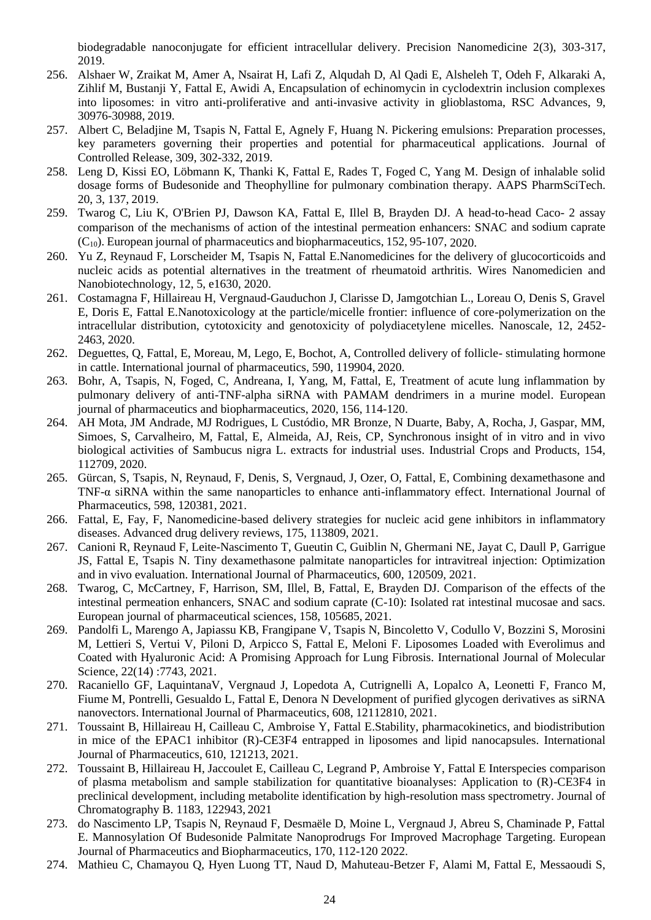biodegradable nanoconjugate for efficient intracellular delivery. Precision Nanomedicine 2(3), 303-317, 2019.

- 256. Alshaer W, Zraikat M, Amer A, Nsairat H, Lafi Z, Alqudah D, Al Qadi E, Alsheleh T, Odeh F, Alkaraki A, Zihlif M, Bustanji Y, Fattal E, Awidi A, Encapsulation of echinomycin in cyclodextrin inclusion complexes into liposomes: in vitro anti-proliferative and anti-invasive activity in glioblastoma, RSC Advances, 9, 30976-30988, 2019.
- 257. Albert C, Beladjine M, Tsapis N, Fattal E, Agnely F, Huang N. Pickering emulsions: Preparation processes, key parameters governing their properties and potential for pharmaceutical applications. Journal of Controlled Release, 309, 302-332, 2019.
- 258. Leng D, Kissi EO, Löbmann K, Thanki K, Fattal E, Rades T, Foged C, Yang M. Design of inhalable solid dosage forms of Budesonide and Theophylline for pulmonary combination therapy. AAPS PharmSciTech. 20, 3, 137, 2019.
- 259. Twarog C, Liu K, O'Brien PJ, Dawson KA, Fattal E, Illel B, Brayden DJ. A head-to-head Caco- 2 assay comparison of the mechanisms of action of the intestinal permeation enhancers: SNAC and sodium caprate (C10). European journal of pharmaceutics and biopharmaceutics, 152, 95-107, 2020.
- 260. Yu Z, Reynaud F, Lorscheider M, Tsapis N, Fattal E.Nanomedicines for the delivery of glucocorticoids and nucleic acids as potential alternatives in the treatment of rheumatoid arthritis. Wires Nanomedicien and Nanobiotechnology, 12, 5, e1630, 2020.
- 261. Costamagna F, Hillaireau H, Vergnaud-Gauduchon J, Clarisse D, Jamgotchian L., Loreau O, Denis S, Gravel E, Doris E, Fattal E.Nanotoxicology at the particle/micelle frontier: influence of core-polymerization on the intracellular distribution, cytotoxicity and genotoxicity of polydiacetylene micelles. Nanoscale, 12, 2452- 2463, 2020.
- 262. Deguettes, Q, Fattal, E, Moreau, M, Lego, E, Bochot, A, Controlled delivery of follicle- stimulating hormone in cattle. International journal of pharmaceutics, 590, 119904, 2020.
- 263. Bohr, A, Tsapis, N, Foged, C, Andreana, I, Yang, M, Fattal, E, Treatment of acute lung inflammation by pulmonary delivery of anti-TNF-alpha siRNA with PAMAM dendrimers in a murine model. European journal of pharmaceutics and biopharmaceutics, 2020, 156, 114-120.
- 264. AH Mota, JM Andrade, MJ Rodrigues, L Custódio, MR Bronze, N Duarte, Baby, A, Rocha, J, Gaspar, MM, Simoes, S, Carvalheiro, M, Fattal, E, Almeida, AJ, Reis, CP, Synchronous insight of in vitro and in vivo biological activities of Sambucus nigra L. extracts for industrial uses. Industrial Crops and Products, 154, 112709, 2020.
- 265. Gürcan, S, Tsapis, N, Reynaud, F, Denis, S, Vergnaud, J, Ozer, O, Fattal, E, Combining dexamethasone and TNF-α siRNA within the same nanoparticles to enhance anti-inflammatory effect. International Journal of Pharmaceutics, 598, 120381, 2021.
- 266. Fattal, E, Fay, F, Nanomedicine-based delivery strategies for nucleic acid gene inhibitors in inflammatory diseases. Advanced drug delivery reviews, 175, 113809, 2021.
- 267. Canioni R, Reynaud F, Leite-Nascimento T, Gueutin C, Guiblin N, Ghermani NE, Jayat C, Daull P, Garrigue JS, Fattal E, Tsapis N. Tiny dexamethasone palmitate nanoparticles for intravitreal injection: Optimization and in vivo evaluation. International Journal of Pharmaceutics, 600, 120509, 2021.
- 268. Twarog, C, McCartney, F, Harrison, SM, Illel, B, Fattal, E, Brayden DJ. Comparison of the effects of the intestinal permeation enhancers, SNAC and sodium caprate (C-10): Isolated rat intestinal mucosae and sacs. European journal of pharmaceutical sciences, 158, 105685, 2021.
- 269. Pandolfi L, Marengo A, Japiassu KB, Frangipane V, Tsapis N, Bincoletto V, Codullo V, Bozzini S, Morosini M, Lettieri S, Vertui V, Piloni D, Arpicco S, Fattal E, Meloni F. Liposomes Loaded with Everolimus and Coated with Hyaluronic Acid: A Promising Approach for Lung Fibrosis. International Journal of Molecular Science, 22(14) :7743, 2021.
- 270. Racaniello GF, LaquintanaV, Vergnaud J, Lopedota A, Cutrignelli A, Lopalco A, Leonetti F, Franco M, Fiume M, Pontrelli, Gesualdo L, Fattal E, Denora N Development of purified glycogen derivatives as siRNA nanovectors. International Journal of Pharmaceutics, 608, 12112810, 2021.
- 271. Toussaint B, Hillaireau H, Cailleau C, Ambroise Y, Fattal E.Stability, pharmacokinetics, and biodistribution in mice of the EPAC1 inhibitor (R)-CE3F4 entrapped in liposomes and lipid nanocapsules. International Journal of Pharmaceutics, 610, 121213, 2021.
- 272. Toussaint B, Hillaireau H, Jaccoulet E, Cailleau C, Legrand P, Ambroise Y, Fattal E Interspecies comparison of plasma metabolism and sample stabilization for quantitative bioanalyses: Application to (R)-CE3F4 in preclinical development, including metabolite identification by high-resolution mass spectrometry. Journal of Chromatography B. 1183, 122943, 2021
- 273. do Nascimento LP, Tsapis N, Reynaud F, Desmaële D, Moine L, Vergnaud J, Abreu S, Chaminade P, Fattal E. Mannosylation Of Budesonide Palmitate Nanoprodrugs For Improved Macrophage Targeting. European Journal of Pharmaceutics and Biopharmaceutics, 170, 112-120 2022.
- 274. Mathieu C, Chamayou Q, Hyen Luong TT, Naud D, Mahuteau-Betzer F, Alami M, Fattal E, Messaoudi S,